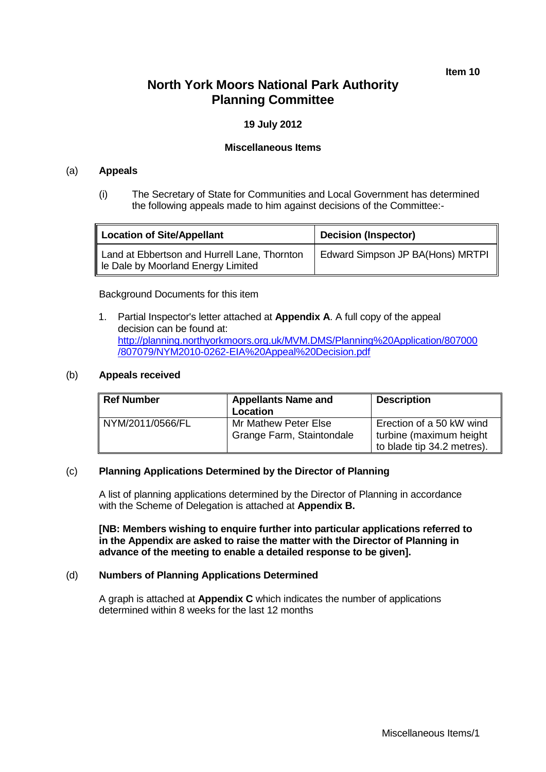**Item 10**

# **North York Moors National Park Authority Planning Committee**

## **19 July 2012**

#### **Miscellaneous Items**

#### (a) **Appeals**

(i) The Secretary of State for Communities and Local Government has determined the following appeals made to him against decisions of the Committee:-

| <b>Location of Site/Appellant</b>                                                  | Decision (Inspector)             |  |
|------------------------------------------------------------------------------------|----------------------------------|--|
| Land at Ebbertson and Hurrell Lane, Thornton<br>le Dale by Moorland Energy Limited | Edward Simpson JP BA(Hons) MRTPI |  |

Background Documents for this item

1. Partial Inspector's letter attached at **Appendix A**. A full copy of the appeal decision can be found at: [http://planning.northyorkmoors.org.uk/MVM.DMS/Planning%20Application/807000](http://planning.northyorkmoors.org.uk/MVM.DMS/Planning%20Application/807000/807079/NYM2010-0262-EIA%20Appeal%20Decision.pdf) [/807079/NYM2010-0262-EIA%20Appeal%20Decision.pdf](http://planning.northyorkmoors.org.uk/MVM.DMS/Planning%20Application/807000/807079/NYM2010-0262-EIA%20Appeal%20Decision.pdf)

#### (b) **Appeals received**

| Ref Number       | <b>Appellants Name and</b><br>Location            | <b>Description</b>                                                                |
|------------------|---------------------------------------------------|-----------------------------------------------------------------------------------|
| NYM/2011/0566/FL | Mr Mathew Peter Else<br>Grange Farm, Staintondale | Erection of a 50 kW wind<br>turbine (maximum height<br>to blade tip 34.2 metres). |

#### (c) **Planning Applications Determined by the Director of Planning**

A list of planning applications determined by the Director of Planning in accordance with the Scheme of Delegation is attached at **Appendix B.**

**[NB: Members wishing to enquire further into particular applications referred to in the Appendix are asked to raise the matter with the Director of Planning in advance of the meeting to enable a detailed response to be given].**

### (d) **Numbers of Planning Applications Determined**

A graph is attached at **Appendix C** which indicates the number of applications determined within 8 weeks for the last 12 months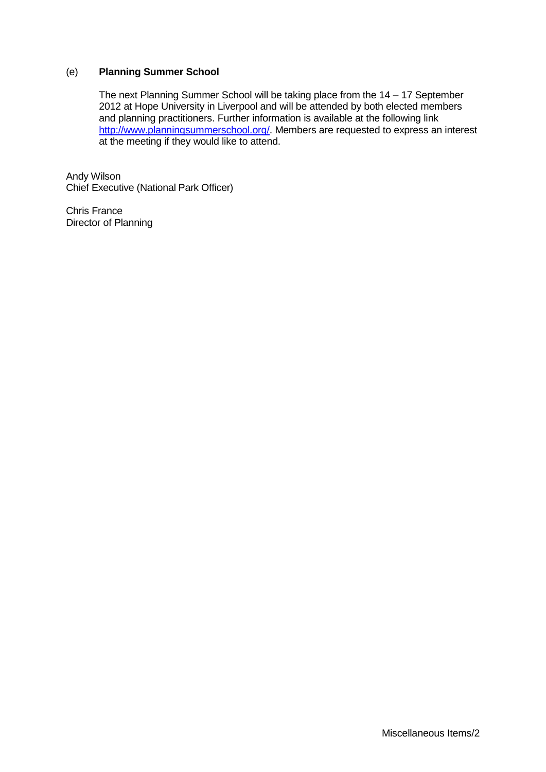### (e) **Planning Summer School**

The next Planning Summer School will be taking place from the 14 – 17 September 2012 at Hope University in Liverpool and will be attended by both elected members and planning practitioners. Further information is available at the following link [http://www.planningsummerschool.org/.](http://www.planningsummerschool.org/) Members are requested to express an interest at the meeting if they would like to attend.

Andy Wilson Chief Executive (National Park Officer)

Chris France Director of Planning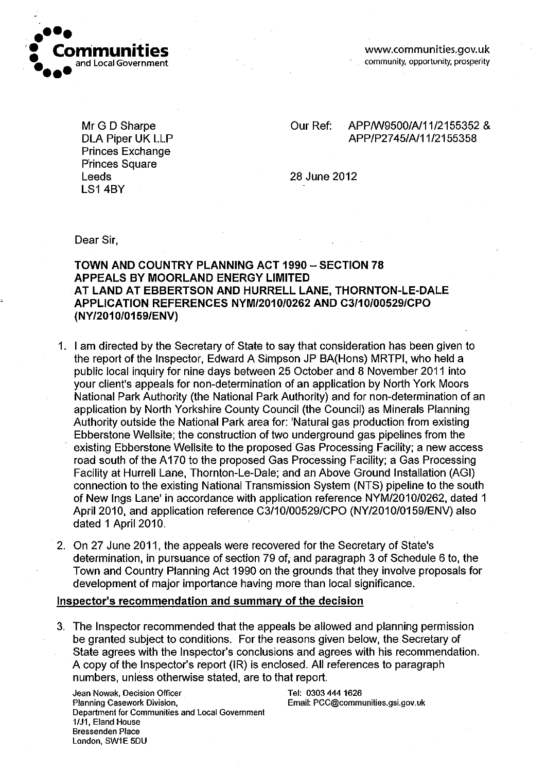

Mr G D Sharpe **DLA Piper UK LLP Princes Exchange Princes Square** Leeds **LS1 4BY** 

APP/W9500/A/11/2155352 & Our Ref: APP/P2745/A/11/2155358

28 June 2012

Dear Sir.

TOWN AND COUNTRY PLANNING ACT 1990 - SECTION 78 **APPEALS BY MOORLAND ENERGY LIMITED** AT LAND AT EBBERTSON AND HURRELL LANE, THORNTON-LE-DALE APPLICATION REFERENCES NYM/2010/0262 AND C3/10/00529/CPO (NY/2010/0159/ENV)

- 1. I am directed by the Secretary of State to say that consideration has been given to the report of the Inspector, Edward A Simpson JP BA(Hons) MRTPI, who held a public local inquiry for nine days between 25 October and 8 November 2011 into your client's appeals for non-determination of an application by North York Moors National Park Authority (the National Park Authority) and for non-determination of an application by North Yorkshire County Council (the Council) as Minerals Planning Authority outside the National Park area for: 'Natural gas production from existing Ebberstone Wellsite; the construction of two underground gas pipelines from the existing Ebberstone Wellsite to the proposed Gas Processing Facility; a new access road south of the A170 to the proposed Gas Processing Facility: a Gas Processing Facility at Hurrell Lane, Thornton-Le-Dale; and an Above Ground Installation (AGI) connection to the existing National Transmission System (NTS) pipeline to the south of New Ings Lane' in accordance with application reference NYM/2010/0262, dated 1 April 2010, and application reference C3/10/00529/CPO (NY/2010/0159/ENV) also dated 1 April 2010.
- 2. On 27 June 2011, the appeals were recovered for the Secretary of State's determination, in pursuance of section 79 of, and paragraph 3 of Schedule 6 to, the Town and Country Planning Act 1990 on the grounds that they involve proposals for development of major importance having more than local significance.

## Inspector's recommendation and summary of the decision

3. The Inspector recommended that the appeals be allowed and planning permission be granted subject to conditions. For the reasons given below, the Secretary of State agrees with the Inspector's conclusions and agrees with his recommendation. A copy of the Inspector's report (IR) is enclosed. All references to paragraph numbers, unless otherwise stated, are to that report.

Jean Nowak, Decision Officer Planning Casework Division. Department for Communities and Local Government 1/J1, Eland House **Bressenden Place** London, SW1E 5DU

Tel: 0303 444 1626 Email: PCC@communities.gsi.gov.uk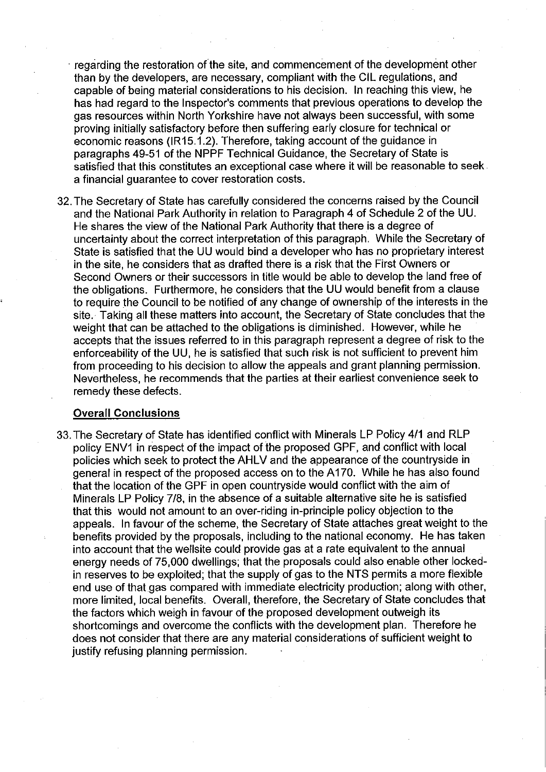regarding the restoration of the site, and commencement of the development other than by the developers, are necessary, compliant with the CIL regulations, and capable of being material considerations to his decision. In reaching this view, he has had regard to the Inspector's comments that previous operations to develop the gas resources within North Yorkshire have not always been successful, with some proving initially satisfactory before then suffering early closure for technical or economic reasons (IR15.1.2). Therefore, taking account of the guidance in paragraphs 49-51 of the NPPF Technical Guidance, the Secretary of State is satisfied that this constitutes an exceptional case where it will be reasonable to seek a financial guarantee to cover restoration costs.

32. The Secretary of State has carefully considered the concerns raised by the Council and the National Park Authority in relation to Paragraph 4 of Schedule 2 of the UU. He shares the view of the National Park Authority that there is a degree of uncertainty about the correct interpretation of this paragraph. While the Secretary of State is satisfied that the UU would bind a developer who has no proprietary interest in the site, he considers that as drafted there is a risk that the First Owners or Second Owners or their successors in title would be able to develop the land free of the obligations. Furthermore, he considers that the UU would benefit from a clause to require the Council to be notified of any change of ownership of the interests in the site. Taking all these matters into account, the Secretary of State concludes that the weight that can be attached to the obligations is diminished. However, while he accepts that the issues referred to in this paragraph represent a degree of risk to the enforceability of the UU, he is satisfied that such risk is not sufficient to prevent him from proceeding to his decision to allow the appeals and grant planning permission. Nevertheless, he recommends that the parties at their earliest convenience seek to remedy these defects.

#### **Overall Conclusions**

33. The Secretary of State has identified conflict with Minerals LP Policy 4/1 and RLP policy ENV1 in respect of the impact of the proposed GPF, and conflict with local policies which seek to protect the AHLV and the appearance of the countryside in general in respect of the proposed access on to the A170. While he has also found that the location of the GPF in open countryside would conflict with the aim of Minerals LP Policy 7/8, in the absence of a suitable alternative site he is satisfied that this would not amount to an over-riding in-principle policy objection to the appeals. In favour of the scheme, the Secretary of State attaches great weight to the benefits provided by the proposals, including to the national economy. He has taken into account that the wellsite could provide gas at a rate equivalent to the annual energy needs of 75,000 dwellings; that the proposals could also enable other lockedin reserves to be exploited; that the supply of gas to the NTS permits a more flexible end use of that gas compared with immediate electricity production; along with other, more limited, local benefits. Overall, therefore, the Secretary of State concludes that the factors which weigh in favour of the proposed development outweigh its shortcomings and overcome the conflicts with the development plan. Therefore he does not consider that there are any material considerations of sufficient weight to justify refusing planning permission.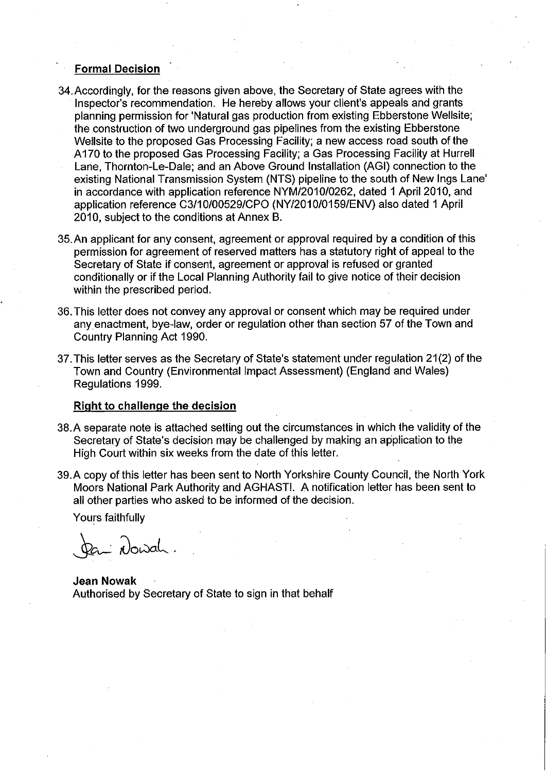### **Formal Decision**

- 34. Accordingly, for the reasons given above, the Secretary of State agrees with the Inspector's recommendation. He hereby allows your client's appeals and grants planning permission for 'Natural gas production from existing Ebberstone Wellsite; the construction of two underground gas pipelines from the existing Ebberstone Wellsite to the proposed Gas Processing Facility; a new access road south of the A170 to the proposed Gas Processing Facility; a Gas Processing Facility at Hurrell Lane. Thornton-Le-Dale: and an Above Ground Installation (AGI) connection to the existing National Transmission System (NTS) pipeline to the south of New Ings Lane' in accordance with application reference NYM/2010/0262, dated 1 April 2010, and application reference C3/10/00529/CPO (NY/2010/0159/ENV) also dated 1 April 2010, subject to the conditions at Annex B.
- 35. An applicant for any consent, agreement or approval required by a condition of this permission for agreement of reserved matters has a statutory right of appeal to the Secretary of State if consent, agreement or approval is refused or granted conditionally or if the Local Planning Authority fail to give notice of their decision within the prescribed period.
- 36. This letter does not convey any approval or consent which may be required under any enactment, bye-law, order or regulation other than section 57 of the Town and Country Planning Act 1990.
- 37. This letter serves as the Secretary of State's statement under regulation 21(2) of the Town and Country (Environmental Impact Assessment) (England and Wales) Regulations 1999.

#### Right to challenge the decision

- 38. A separate note is attached setting out the circumstances in which the validity of the Secretary of State's decision may be challenged by making an application to the High Court within six weeks from the date of this letter.
- 39. A copy of this letter has been sent to North Yorkshire County Council, the North York Moors National Park Authority and AGHAST!. A notification letter has been sent to all other parties who asked to be informed of the decision.

Yours faithfully

Dan Nowah.

**Jean Nowak** Authorised by Secretary of State to sign in that behalf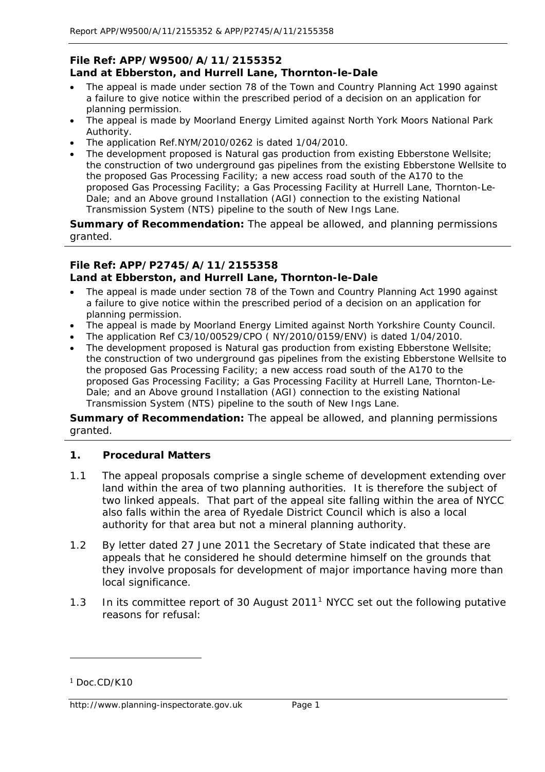## **File Ref: APP/W9500/A/11/2155352 Land at Ebberston, and Hurrell Lane, Thornton-le-Dale**

- The appeal is made under section 78 of the Town and Country Planning Act 1990 against a failure to give notice within the prescribed period of a decision on an application for planning permission.
- The appeal is made by Moorland Energy Limited against North York Moors National Park Authority.
- The application Ref.NYM/2010/0262 is dated 1/04/2010.
- The development proposed is Natural gas production from existing Ebberstone Wellsite; the construction of two underground gas pipelines from the existing Ebberstone Wellsite to the proposed Gas Processing Facility; a new access road south of the A170 to the proposed Gas Processing Facility; a Gas Processing Facility at Hurrell Lane, Thornton-Le-Dale; and an Above ground Installation (AGI) connection to the existing National Transmission System (NTS) pipeline to the south of New Ings Lane.

**Summary of Recommendation:** The appeal be allowed, and planning permissions granted.

# **File Ref: APP/P2745/A/11/2155358 Land at Ebberston, and Hurrell Lane, Thornton-le-Dale**

- The appeal is made under section 78 of the Town and Country Planning Act 1990 against a failure to give notice within the prescribed period of a decision on an application for planning permission.
- The appeal is made by Moorland Energy Limited against North Yorkshire County Council.
- The application Ref C3/10/00529/CPO ( $NY/2010/0159/ENV$ ) is dated 1/04/2010.
- The development proposed is Natural gas production from existing Ebberstone Wellsite; the construction of two underground gas pipelines from the existing Ebberstone Wellsite to the proposed Gas Processing Facility; a new access road south of the A170 to the proposed Gas Processing Facility; a Gas Processing Facility at Hurrell Lane, Thornton-Le-Dale; and an Above ground Installation (AGI) connection to the existing National Transmission System (NTS) pipeline to the south of New Ings Lane.

**Summary of Recommendation:** The appeal be allowed, and planning permissions granted.

# **1. Procedural Matters**

- 1.1 The appeal proposals comprise a single scheme of development extending over land within the area of two planning authorities. It is therefore the subject of two linked appeals. That part of the appeal site falling within the area of NYCC also falls within the area of Ryedale District Council which is also a local authority for that area but not a mineral planning authority.
- 1.2 By letter dated 27 June 2011 the Secretary of State indicated that these are appeals that he considered he should determine himself on the grounds that they involve proposals for development of major importance having more than local significance.
- [1](#page-5-0).3 In its committee report of 30 August 2011<sup>1</sup> NYCC set out the following putative reasons for refusal:

j

<span id="page-5-0"></span><sup>1</sup> Doc.CD/K10

http://www.planning-inspectorate.gov.uk Page 1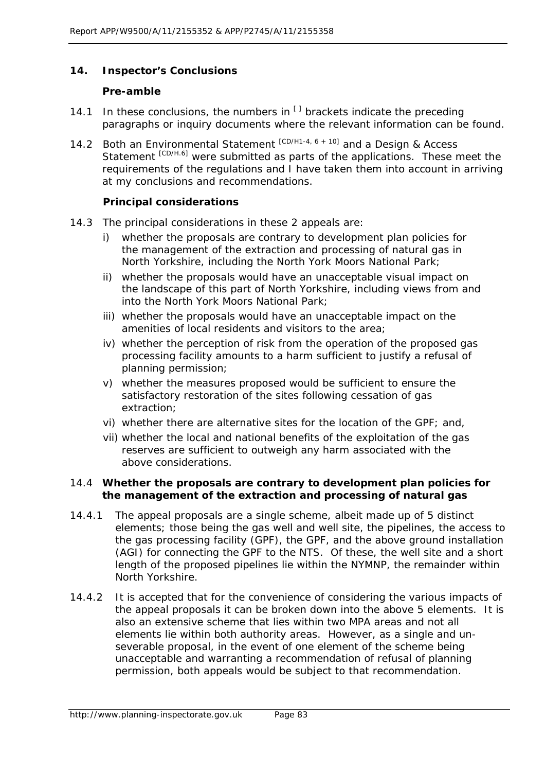## **14. Inspector's Conclusions**

#### **Pre-amble**

- 14.1 In these conclusions, the numbers in  $\left[1\right]$  brackets indicate the preceding paragraphs or inquiry documents where the relevant information can be found.
- 14.2 Both an Environmental Statement [CD/H1-4, 6 + 10] and a Design & Access Statement [CD/H.6] were submitted as parts of the applications. These meet the requirements of the regulations and I have taken them into account in arriving at my conclusions and recommendations.

### **Principal considerations**

- 14.3 The principal considerations in these 2 appeals are:
	- i) whether the proposals are contrary to development plan policies for the management of the extraction and processing of natural gas in North Yorkshire, including the North York Moors National Park;
	- ii) whether the proposals would have an unacceptable visual impact on the landscape of this part of North Yorkshire, including views from and into the North York Moors National Park;
	- iii) whether the proposals would have an unacceptable impact on the amenities of local residents and visitors to the area;
	- iv) whether the perception of risk from the operation of the proposed gas processing facility amounts to a harm sufficient to justify a refusal of planning permission;
	- v) whether the measures proposed would be sufficient to ensure the satisfactory restoration of the sites following cessation of gas extraction;
	- vi) whether there are alternative sites for the location of the GPF; and,
	- vii) whether the local and national benefits of the exploitation of the gas reserves are sufficient to outweigh any harm associated with the above considerations.

### 14.4 **Whether the proposals are contrary to development plan policies for the management of the extraction and processing of natural gas**

- 14.4.1 The appeal proposals are a single scheme, albeit made up of 5 distinct elements; those being the gas well and well site, the pipelines, the access to the gas processing facility (GPF), the GPF, and the above ground installation (AGI) for connecting the GPF to the NTS. Of these, the well site and a short length of the proposed pipelines lie within the NYMNP, the remainder within North Yorkshire.
- 14.4.2 It is accepted that for the convenience of considering the various impacts of the appeal proposals it can be broken down into the above 5 elements. It is also an extensive scheme that lies within two MPA areas and not all elements lie within both authority areas. However, as a single and unseverable proposal, in the event of one element of the scheme being unacceptable and warranting a recommendation of refusal of planning permission, both appeals would be subject to that recommendation.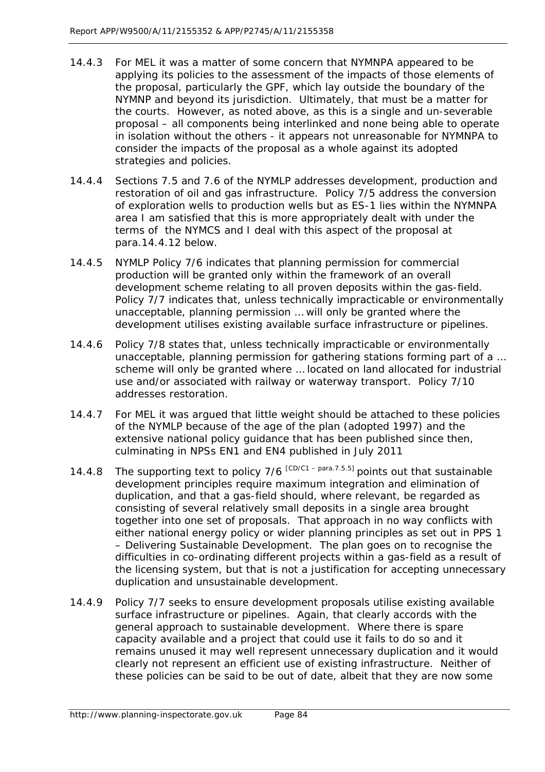- 14.4.3 For MEL it was a matter of some concern that NYMNPA appeared to be applying its policies to the assessment of the impacts of those elements of the proposal, particularly the GPF, which lay outside the boundary of the NYMNP and beyond its jurisdiction. Ultimately, that must be a matter for the courts. However, as noted above, as this is a single and un-severable proposal – all components being interlinked and none being able to operate in isolation without the others - it appears not unreasonable for NYMNPA to consider the impacts of the proposal as a whole against its adopted strategies and policies.
- 14.4.4 Sections 7.5 and 7.6 of the NYMLP addresses development, production and restoration of oil and gas infrastructure. Policy 7/5 address the conversion of exploration wells to production wells but as ES-1 lies within the NYMNPA area I am satisfied that this is more appropriately dealt with under the terms of the NYMCS and I deal with this aspect of the proposal at para.14.4.12 below.
- 14.4.5 NYMLP Policy 7/6 indicates that *planning permission for commercial production will be granted only within the framework of an overall development scheme relating to all proven deposits within the gas-field*. Policy 7/7 indicates that, *unless technically impracticable or environmentally unacceptable, planning permission … will only be granted where the development utilises existing available surface infrastructure or pipelines*.
- 14.4.6 Policy 7/8 states that, *unless technically impracticable or environmentally unacceptable, planning permission for gathering stations forming part of a … scheme will only be granted where … located on land allocated for industrial use and/or associated with railway or waterway transport*. Policy 7/10 addresses restoration.
- 14.4.7 For MEL it was argued that little weight should be attached to these policies of the NYMLP because of the age of the plan (adopted 1997) and the extensive national policy guidance that has been published since then, culminating in NPSs EN1 and EN4 published in July 2011
- 14.4.8 The supporting text to policy  $7/6$   $[CD/C1 para.7.5.5]$  points out that sustainable development principles require maximum integration and elimination of duplication, and that a gas-field should, where relevant, be regarded as consisting of several relatively small deposits in a single area brought together into one set of proposals. That approach in no way conflicts with either national energy policy or wider planning principles as set out in PPS 1 – Delivering Sustainable Development. The plan goes on to recognise the difficulties in co-ordinating different projects within a gas-field as a result of the licensing system, but that is not a justification for accepting unnecessary duplication and unsustainable development.
- 14.4.9 Policy 7/7 seeks to ensure development proposals utilise existing available surface infrastructure or pipelines. Again, that clearly accords with the general approach to sustainable development. Where there is spare capacity available and a project that could use it fails to do so and it remains unused it may well represent unnecessary duplication and it would clearly not represent an efficient use of existing infrastructure. Neither of these policies can be said to be out of date, albeit that they are now some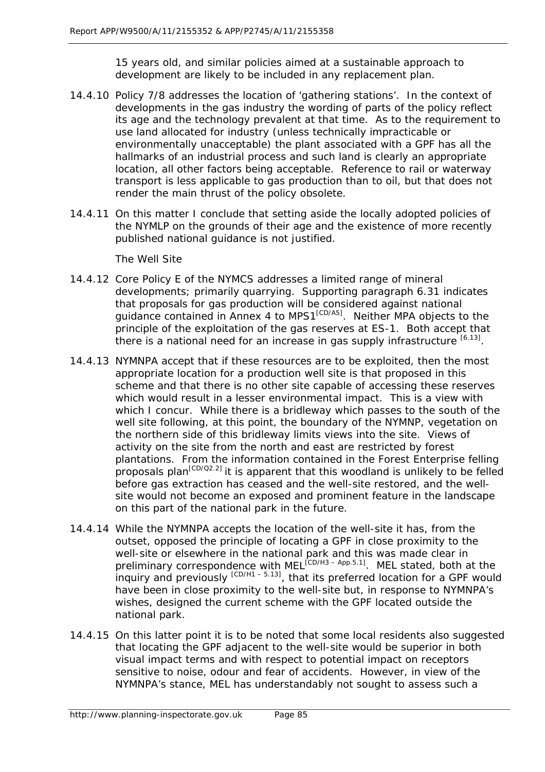15 years old, and similar policies aimed at a sustainable approach to development are likely to be included in any replacement plan.

- 14.4.10 Policy 7/8 addresses the location of 'gathering stations'. In the context of developments in the gas industry the wording of parts of the policy reflect its age and the technology prevalent at that time. As to the requirement to use land allocated for industry (unless technically impracticable or environmentally unacceptable) the plant associated with a GPF has all the hallmarks of an industrial process and such land is clearly an appropriate location, all other factors being acceptable. Reference to rail or waterway transport is less applicable to gas production than to oil, but that does not render the main thrust of the policy obsolete.
- 14.4.11 On this matter I conclude that setting aside the locally adopted policies of the NYMLP on the grounds of their age and the existence of more recently published national guidance is not justified.

The Well Site

- 14.4.12 Core Policy E of the NYMCS addresses a limited range of mineral developments; primarily quarrying. Supporting paragraph 6.31 indicates that proposals for gas production will be considered against national guidance contained in Annex 4 to MPS1<sup>[CD/A5]</sup>. Neither MPA objects to the principle of the exploitation of the gas reserves at ES-1. Both accept that there is a national need for an increase in gas supply infrastructure  $[6.13]$ .
- 14.4.13 NYMNPA accept that if these resources are to be exploited, then the most appropriate location for a production well site is that proposed in this scheme and that there is no other site capable of accessing these reserves which would result in a lesser environmental impact. This is a view with which I concur. While there is a bridleway which passes to the south of the well site following, at this point, the boundary of the NYMNP, vegetation on the northern side of this bridleway limits views into the site. Views of activity on the site from the north and east are restricted by forest plantations. From the information contained in the Forest Enterprise felling proposals plan<sup>[CD/Q2.2]</sup> it is apparent that this woodland is unlikely to be felled before gas extraction has ceased and the well-site restored, and the wellsite would not become an exposed and prominent feature in the landscape on this part of the national park in the future.
- 14.4.14 While the NYMNPA accepts the location of the well-site it has, from the outset, opposed the principle of locating a GPF in close proximity to the well-site or elsewhere in the national park and this was made clear in preliminary correspondence with MEL<sup>[CD/H3-App.5.1]</sup>. MEL stated, both at the inquiry and previously  $[CD/H1 - 5.13]$ , that its preferred location for a GPF would have been in close proximity to the well-site but, in response to NYMNPA's wishes, designed the current scheme with the GPF located outside the national park.
- 14.4.15 On this latter point it is to be noted that some local residents also suggested that locating the GPF adjacent to the well-site would be superior in both visual impact terms and with respect to potential impact on receptors sensitive to noise, odour and fear of accidents. However, in view of the NYMNPA's stance, MEL has understandably not sought to assess such a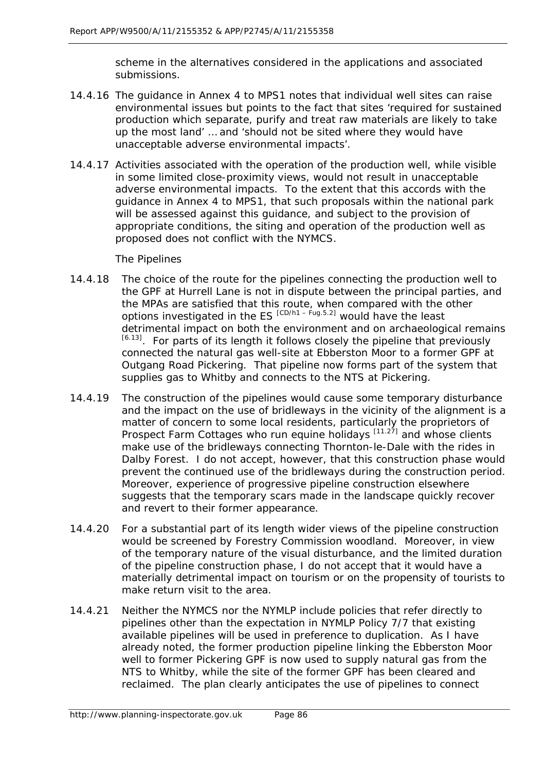scheme in the alternatives considered in the applications and associated submissions.

- 14.4.16 The guidance in Annex 4 to MPS1 notes that individual well sites can raise environmental issues but points to the fact that sites '*required for sustained production which separate, purify and treat raw materials are likely to take up the most land'* … and '*should not be sited where they would have unacceptable adverse environmental impacts'*.
- 14.4.17 Activities associated with the operation of the production well, while visible in some limited close-proximity views, would not result in unacceptable adverse environmental impacts. To the extent that this accords with the guidance in Annex 4 to MPS1, that such proposals within the national park will be assessed against this guidance, and subject to the provision of appropriate conditions, the siting and operation of the production well as proposed does not conflict with the NYMCS.

The Pipelines

- 14.4.18 The choice of the route for the pipelines connecting the production well to the GPF at Hurrell Lane is not in dispute between the principal parties, and the MPAs are satisfied that this route, when compared with the other options investigated in the ES  $^{[CD/h1 - Fug.5.2]}$  would have the least detrimental impact on both the environment and on archaeological remains  $[6.13]$ . For parts of its length it follows closely the pipeline that previously connected the natural gas well-site at Ebberston Moor to a former GPF at Outgang Road Pickering. That pipeline now forms part of the system that supplies gas to Whitby and connects to the NTS at Pickering.
- 14.4.19 The construction of the pipelines would cause some temporary disturbance and the impact on the use of bridleways in the vicinity of the alignment is a matter of concern to some local residents, particularly the proprietors of Prospect Farm Cottages who run equine holidays  $[11.27]$  and whose clients make use of the bridleways connecting Thornton-le-Dale with the rides in Dalby Forest. I do not accept, however, that this construction phase would prevent the continued use of the bridleways during the construction period. Moreover, experience of progressive pipeline construction elsewhere suggests that the temporary scars made in the landscape quickly recover and revert to their former appearance.
- 14.4.20 For a substantial part of its length wider views of the pipeline construction would be screened by Forestry Commission woodland. Moreover, in view of the temporary nature of the visual disturbance, and the limited duration of the pipeline construction phase, I do not accept that it would have a materially detrimental impact on tourism or on the propensity of tourists to make return visit to the area.
- 14.4.21 Neither the NYMCS nor the NYMLP include policies that refer directly to pipelines other than the expectation in NYMLP Policy 7/7 that existing available pipelines will be used in preference to duplication. As I have already noted, the former production pipeline linking the Ebberston Moor well to former Pickering GPF is now used to supply natural gas from the NTS to Whitby, while the site of the former GPF has been cleared and reclaimed. The plan clearly anticipates the use of pipelines to connect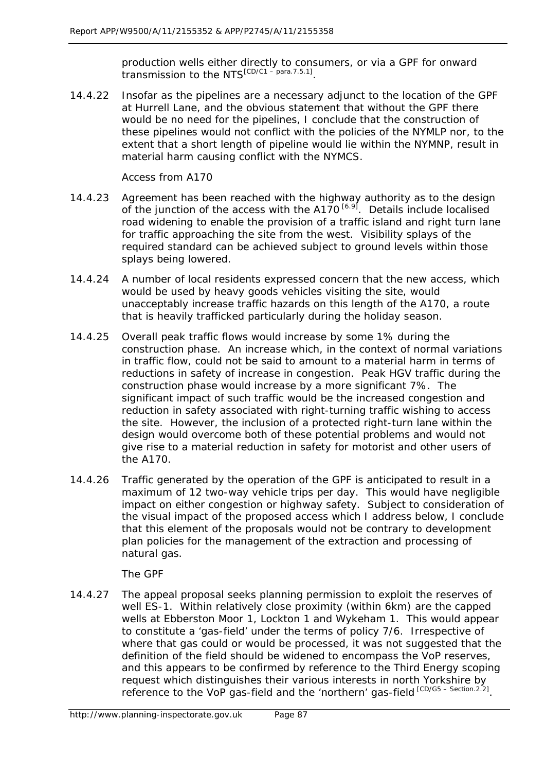production wells either directly to consumers, or via a GPF for onward transmission to the NTS<sup>[CD/C1</sup> – para.7.5.1]

14.4.22 Insofar as the pipelines are a necessary adjunct to the location of the GPF at Hurrell Lane, and the obvious statement that without the GPF there would be no need for the pipelines, I conclude that the construction of these pipelines would not conflict with the policies of the NYMLP nor, to the extent that a short length of pipeline would lie within the NYMNP, result in material harm causing conflict with the NYMCS.

Access from A170

- 14.4.23 Agreement has been reached with the highway authority as to the design of the junction of the access with the  $A170^{6.9}$ . Details include localised road widening to enable the provision of a traffic island and right turn lane for traffic approaching the site from the west. Visibility splays of the required standard can be achieved subject to ground levels within those splays being lowered.
- 14.4.24 A number of local residents expressed concern that the new access, which would be used by heavy goods vehicles visiting the site, would unacceptably increase traffic hazards on this length of the A170, a route that is heavily trafficked particularly during the holiday season.
- 14.4.25 Overall peak traffic flows would increase by some 1% during the construction phase. An increase which, in the context of normal variations in traffic flow, could not be said to amount to a material harm in terms of reductions in safety of increase in congestion. Peak HGV traffic during the construction phase would increase by a more significant 7%. The significant impact of such traffic would be the increased congestion and reduction in safety associated with right-turning traffic wishing to access the site. However, the inclusion of a protected right-turn lane within the design would overcome both of these potential problems and would not give rise to a material reduction in safety for motorist and other users of the A170.
- 14.4.26 Traffic generated by the operation of the GPF is anticipated to result in a maximum of 12 two-way vehicle trips per day. This would have negligible impact on either congestion or highway safety. Subject to consideration of the visual impact of the proposed access which I address below, I conclude that this element of the proposals would not be contrary to development plan policies for the management of the extraction and processing of natural gas.

The GPF

14.4.27 The appeal proposal seeks planning permission to exploit the reserves of well ES-1. Within relatively close proximity (within 6km) are the capped wells at Ebberston Moor 1, Lockton 1 and Wykeham 1. This would appear to constitute a 'gas-field' under the terms of policy 7/6. Irrespective of where that gas could or would be processed, it was not suggested that the definition of the field should be widened to encompass the VoP reserves, and this appears to be confirmed by reference to the Third Energy scoping request which distinguishes their various interests in north Yorkshire by reference to the VoP gas-field and the 'northern' gas-field [CD/G5 – Section.2.2].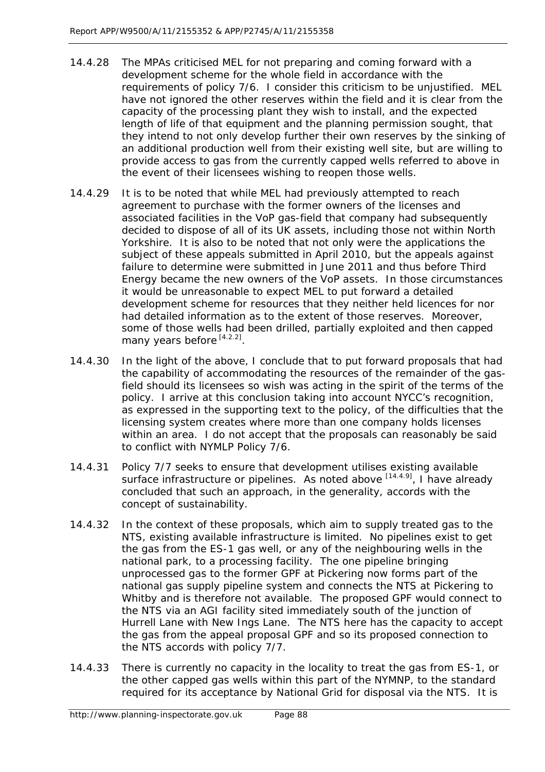- 14.4.28 The MPAs criticised MEL for not preparing and coming forward with a development scheme for the whole field in accordance with the requirements of policy 7/6. I consider this criticism to be unjustified. MEL have not ignored the other reserves within the field and it is clear from the capacity of the processing plant they wish to install, and the expected length of life of that equipment and the planning permission sought, that they intend to not only develop further their own reserves by the sinking of an additional production well from their existing well site, but are willing to provide access to gas from the currently capped wells referred to above in the event of their licensees wishing to reopen those wells.
- 14.4.29 It is to be noted that while MEL had previously attempted to reach agreement to purchase with the former owners of the licenses and associated facilities in the VoP gas-field that company had subsequently decided to dispose of all of its UK assets, including those not within North Yorkshire. It is also to be noted that not only were the applications the subject of these appeals submitted in April 2010, but the appeals against failure to determine were submitted in June 2011 and thus before Third Energy became the new owners of the VoP assets. In those circumstances it would be unreasonable to expect MEL to put forward a detailed development scheme for resources that they neither held licences for nor had detailed information as to the extent of those reserves. Moreover, some of those wells had been drilled, partially exploited and then capped many years before [4.2.2].
- 14.4.30 In the light of the above, I conclude that to put forward proposals that had the capability of accommodating the resources of the remainder of the gasfield should its licensees so wish was acting in the spirit of the terms of the policy. I arrive at this conclusion taking into account NYCC's recognition, as expressed in the supporting text to the policy, of the difficulties that the licensing system creates where more than one company holds licenses within an area. I do not accept that the proposals can reasonably be said to conflict with NYMLP Policy 7/6.
- 14.4.31 Policy 7/7 seeks to ensure that development utilises existing available surface infrastructure or pipelines. As noted above  $[14.4.9]$ , I have already concluded that such an approach, in the generality, accords with the concept of sustainability.
- 14.4.32 In the context of these proposals, which aim to supply treated gas to the NTS, existing available infrastructure is limited. No pipelines exist to get the gas from the ES-1 gas well, or any of the neighbouring wells in the national park, to a processing facility. The one pipeline bringing unprocessed gas to the former GPF at Pickering now forms part of the national gas supply pipeline system and connects the NTS at Pickering to Whitby and is therefore not available. The proposed GPF would connect to the NTS via an AGI facility sited immediately south of the junction of Hurrell Lane with New Ings Lane. The NTS here has the capacity to accept the gas from the appeal proposal GPF and so its proposed connection to the NTS accords with policy 7/7.
- 14.4.33 There is currently no capacity in the locality to treat the gas from ES-1, or the other capped gas wells within this part of the NYMNP, to the standard required for its acceptance by National Grid for disposal via the NTS. It is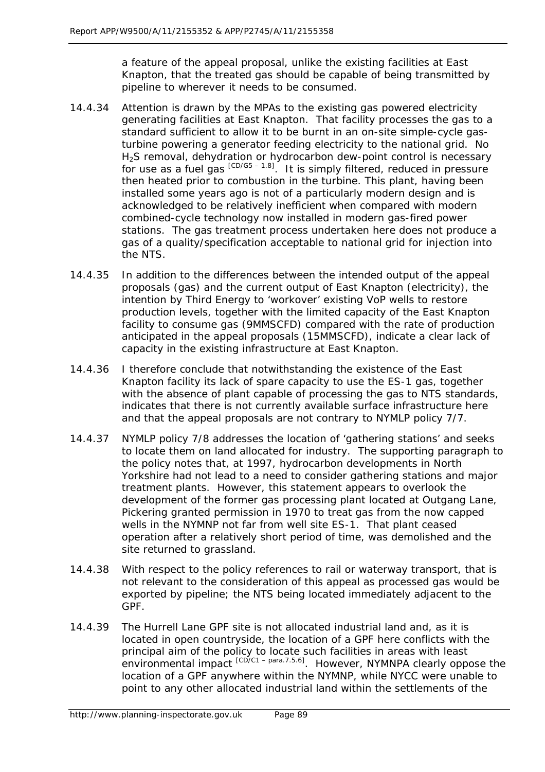a feature of the appeal proposal, unlike the existing facilities at East Knapton, that the treated gas should be capable of being transmitted by pipeline to wherever it needs to be consumed.

- 14.4.34 Attention is drawn by the MPAs to the existing gas powered electricity generating facilities at East Knapton. That facility processes the gas to a standard sufficient to allow it to be burnt in an on-site simple-cycle gasturbine powering a generator feeding electricity to the national grid. No H<sub>2</sub>S removal, dehydration or hydrocarbon dew-point control is necessary for use as a fuel gas  $[CD/G5 - 1.8]$ . It is simply filtered, reduced in pressure then heated prior to combustion in the turbine. This plant, having been installed some years ago is not of a particularly modern design and is acknowledged to be relatively inefficient when compared with modern combined-cycle technology now installed in modern gas-fired power stations. The gas treatment process undertaken here does not produce a gas of a quality/specification acceptable to national grid for injection into the NTS.
- 14.4.35 In addition to the differences between the intended output of the appeal proposals (gas) and the current output of East Knapton (electricity), the intention by Third Energy to 'workover' existing VoP wells to restore production levels, together with the limited capacity of the East Knapton facility to consume gas (9MMSCFD) compared with the rate of production anticipated in the appeal proposals (15MMSCFD), indicate a clear lack of capacity in the existing infrastructure at East Knapton.
- 14.4.36 I therefore conclude that notwithstanding the existence of the East Knapton facility its lack of spare capacity to use the ES-1 gas, together with the absence of plant capable of processing the gas to NTS standards, indicates that there is not currently available surface infrastructure here and that the appeal proposals are not contrary to NYMLP policy 7/7.
- 14.4.37 NYMLP policy 7/8 addresses the location of 'gathering stations' and seeks to locate them on land allocated for industry. The supporting paragraph to the policy notes that, at 1997, hydrocarbon developments in North Yorkshire had not lead to a need to consider gathering stations and major treatment plants. However, this statement appears to overlook the development of the former gas processing plant located at Outgang Lane, Pickering granted permission in 1970 to treat gas from the now capped wells in the NYMNP not far from well site ES-1. That plant ceased operation after a relatively short period of time, was demolished and the site returned to grassland.
- 14.4.38 With respect to the policy references to rail or waterway transport, that is not relevant to the consideration of this appeal as processed gas would be exported by pipeline; the NTS being located immediately adjacent to the GPF.
- 14.4.39 The Hurrell Lane GPF site is not allocated industrial land and, as it is located in open countryside, the location of a GPF here conflicts with the principal aim of the policy to locate such facilities in areas with least environmental impact <sup>[CD/C1 – para.7.5.6]</sup>. However, NYMNPA clearly oppose the location of a GPF anywhere within the NYMNP, while NYCC were unable to point to any other allocated industrial land within the settlements of the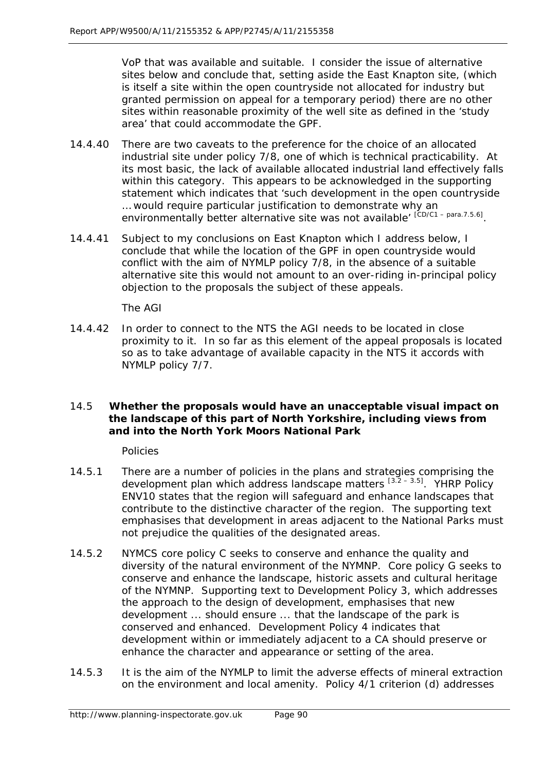VoP that was available and suitable. I consider the issue of alternative sites below and conclude that, setting aside the East Knapton site, (which is itself a site within the open countryside not allocated for industry but granted permission on appeal for a temporary period) there are no other sites within reasonable proximity of the well site as defined in the 'study area' that could accommodate the GPF.

- 14.4.40 There are two caveats to the preference for the choice of an allocated industrial site under policy 7/8, one of which is technical practicability. At its most basic, the lack of available allocated industrial land effectively falls within this category. This appears to be acknowledged in the supporting statement which indicates that '*such development in the open countryside … would require particular justification to demonstrate why an environmentally better alternative site was not available*' [CD/C1 – para.7.5.6].
- 14.4.41 Subject to my conclusions on East Knapton which I address below, I conclude that while the location of the GPF in open countryside would conflict with the aim of NYMLP policy 7/8, in the absence of a suitable alternative site this would not amount to an over-riding in-principal policy objection to the proposals the subject of these appeals.

The AGI

14.4.42 In order to connect to the NTS the AGI needs to be located in close proximity to it. In so far as this element of the appeal proposals is located so as to take advantage of available capacity in the NTS it accords with NYMLP policy 7/7.

## 14.5 **Whether the proposals would have an unacceptable visual impact on the landscape of this part of North Yorkshire, including views from and into the North York Moors National Park**

Policies

- 14.5.1 There are a number of policies in the plans and strategies comprising the development plan which address landscape matters  $[3.2 - 3.5]$ . YHRP Policy ENV10 states that the region will safeguard and enhance landscapes that contribute to the distinctive character of the region. The supporting text emphasises that development in areas adjacent to the National Parks must not prejudice the qualities of the designated areas.
- 14.5.2 NYMCS core policy C seeks to conserve and enhance the quality and diversity of the natural environment of the NYMNP. Core policy G seeks to conserve and enhance the landscape, historic assets and cultural heritage of the NYMNP. Supporting text to Development Policy 3, which addresses the approach to the design of development, emphasises that new development ... should ensure ... that the landscape of the park is conserved and enhanced. Development Policy 4 indicates that development within or immediately adjacent to a CA should preserve or enhance the character and appearance or setting of the area.
- 14.5.3 It is the aim of the NYMLP to limit the adverse effects of mineral extraction on the environment and local amenity. Policy 4/1 criterion (d) addresses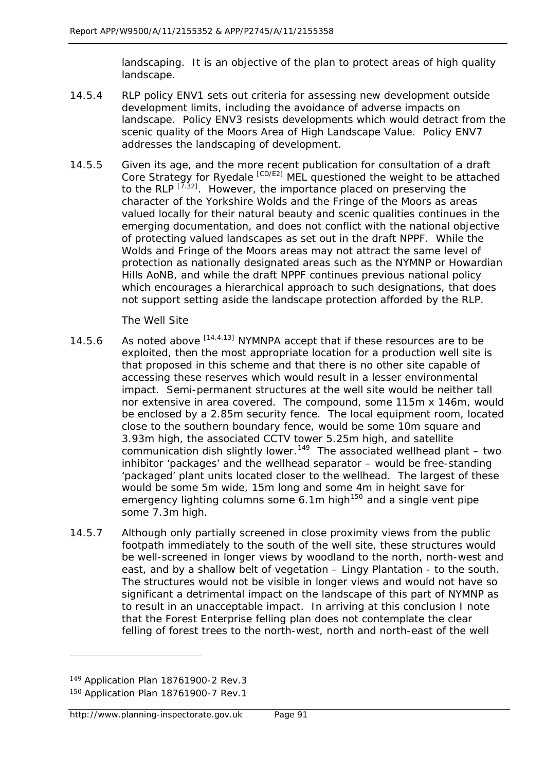landscaping. It is an objective of the plan to protect areas of high quality landscape.

- 14.5.4 RLP policy ENV1 sets out criteria for assessing new development outside development limits, including the avoidance of adverse impacts on landscape. Policy ENV3 resists developments which would detract from the scenic quality of the Moors Area of High Landscape Value. Policy ENV7 addresses the landscaping of development.
- 14.5.5 Given its age, and the more recent publication for consultation of a draft Core Strategy for Ryedale [CD/E2] MEL questioned the weight to be attached to the RLP  $^{[7.32]}$ . However, the importance placed on preserving the character of the Yorkshire Wolds and the Fringe of the Moors as areas valued locally for their natural beauty and scenic qualities continues in the emerging documentation, and does not conflict with the national objective of protecting valued landscapes as set out in the draft NPPF. While the Wolds and Fringe of the Moors areas may not attract the same level of protection as nationally designated areas such as the NYMNP or Howardian Hills AoNB, and while the draft NPPF continues previous national policy which encourages a hierarchical approach to such designations, that does not support setting aside the landscape protection afforded by the RLP.

The Well Site

- 14.5.6 As noted above  $^{[14.4.13]}$  NYMNPA accept that if these resources are to be exploited, then the most appropriate location for a production well site is that proposed in this scheme and that there is no other site capable of accessing these reserves which would result in a lesser environmental impact. Semi-permanent structures at the well site would be neither tall nor extensive in area covered. The compound, some 115m x 146m, would be enclosed by a 2.85m security fence. The local equipment room, located close to the southern boundary fence, would be some 10m square and 3.93m high, the associated CCTV tower 5.25m high, and satellite communication dish slightly lower.<sup>[149](#page-14-0)</sup> The associated wellhead plant – two inhibitor 'packages' and the wellhead separator – would be free-standing 'packaged' plant units located closer to the wellhead. The largest of these would be some 5m wide, 15m long and some 4m in height save for emergency lighting columns some  $6.1$ m high<sup>[150](#page-14-1)</sup> and a single vent pipe some 7.3m high.
- 14.5.7 Although only partially screened in close proximity views from the public footpath immediately to the south of the well site, these structures would be well-screened in longer views by woodland to the north, north-west and east, and by a shallow belt of vegetation – Lingy Plantation - to the south. The structures would not be visible in longer views and would not have so significant a detrimental impact on the landscape of this part of NYMNP as to result in an unacceptable impact. In arriving at this conclusion I note that the Forest Enterprise felling plan does not contemplate the clear felling of forest trees to the north-west, north and north-east of the well

 $\overline{a}$ 

<span id="page-14-0"></span><sup>149</sup> Application Plan 18761900-2 Rev.3

<span id="page-14-1"></span><sup>150</sup> Application Plan 18761900-7 Rev.1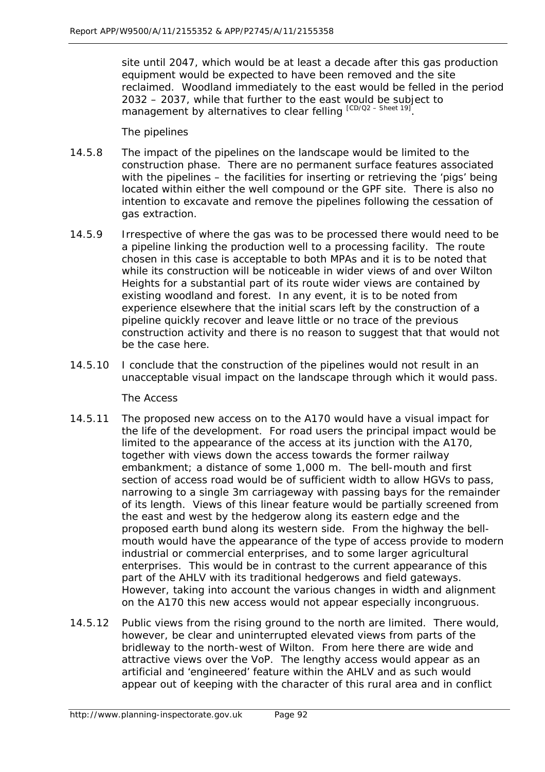site until 2047, which would be at least a decade after this gas production equipment would be expected to have been removed and the site reclaimed. Woodland immediately to the east would be felled in the period 2032 – 2037, while that further to the east would be subject to management by alternatives to clear felling  $[CD/Q2 - Sheet 19]$ .

The pipelines

- 14.5.8 The impact of the pipelines on the landscape would be limited to the construction phase. There are no permanent surface features associated with the pipelines – the facilities for inserting or retrieving the 'pigs' being located within either the well compound or the GPF site. There is also no intention to excavate and remove the pipelines following the cessation of gas extraction.
- 14.5.9 Irrespective of where the gas was to be processed there would need to be a pipeline linking the production well to a processing facility. The route chosen in this case is acceptable to both MPAs and it is to be noted that while its construction will be noticeable in wider views of and over Wilton Heights for a substantial part of its route wider views are contained by existing woodland and forest. In any event, it is to be noted from experience elsewhere that the initial scars left by the construction of a pipeline quickly recover and leave little or no trace of the previous construction activity and there is no reason to suggest that that would not be the case here.
- 14.5.10 I conclude that the construction of the pipelines would not result in an unacceptable visual impact on the landscape through which it would pass.

The Access

- 14.5.11 The proposed new access on to the A170 would have a visual impact for the life of the development. For road users the principal impact would be limited to the appearance of the access at its junction with the A170, together with views down the access towards the former railway embankment; a distance of some 1,000 m. The bell-mouth and first section of access road would be of sufficient width to allow HGVs to pass, narrowing to a single 3m carriageway with passing bays for the remainder of its length. Views of this linear feature would be partially screened from the east and west by the hedgerow along its eastern edge and the proposed earth bund along its western side. From the highway the bellmouth would have the appearance of the type of access provide to modern industrial or commercial enterprises, and to some larger agricultural enterprises. This would be in contrast to the current appearance of this part of the AHLV with its traditional hedgerows and field gateways. However, taking into account the various changes in width and alignment on the A170 this new access would not appear especially incongruous.
- 14.5.12 Public views from the rising ground to the north are limited. There would, however, be clear and uninterrupted elevated views from parts of the bridleway to the north-west of Wilton. From here there are wide and attractive views over the VoP. The lengthy access would appear as an artificial and 'engineered' feature within the AHLV and as such would appear out of keeping with the character of this rural area and in conflict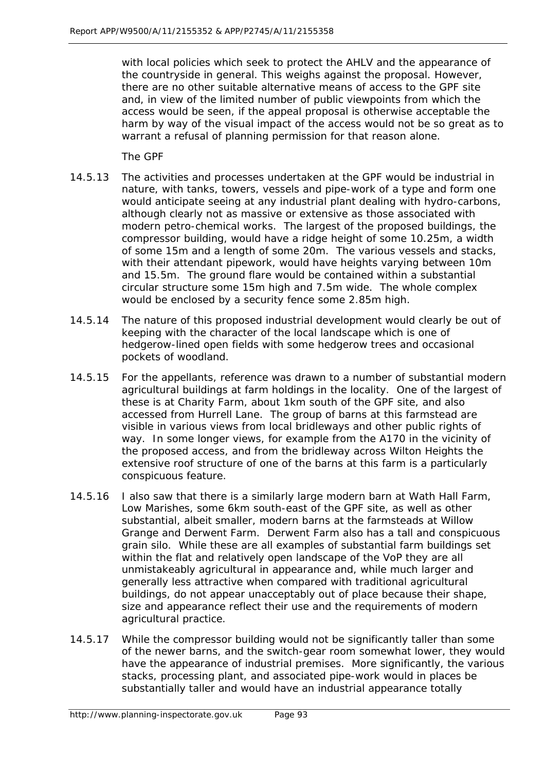with local policies which seek to protect the AHLV and the appearance of the countryside in general. This weighs against the proposal. However, there are no other suitable alternative means of access to the GPF site and, in view of the limited number of public viewpoints from which the access would be seen, if the appeal proposal is otherwise acceptable the harm by way of the visual impact of the access would not be so great as to warrant a refusal of planning permission for that reason alone.

The GPF

- 14.5.13 The activities and processes undertaken at the GPF would be industrial in nature, with tanks, towers, vessels and pipe-work of a type and form one would anticipate seeing at any industrial plant dealing with hydro-carbons, although clearly not as massive or extensive as those associated with modern petro-chemical works. The largest of the proposed buildings, the compressor building, would have a ridge height of some 10.25m, a width of some 15m and a length of some 20m. The various vessels and stacks, with their attendant pipework, would have heights varying between 10m and 15.5m. The ground flare would be contained within a substantial circular structure some 15m high and 7.5m wide. The whole complex would be enclosed by a security fence some 2.85m high.
- 14.5.14 The nature of this proposed industrial development would clearly be out of keeping with the character of the local landscape which is one of hedgerow-lined open fields with some hedgerow trees and occasional pockets of woodland.
- 14.5.15 For the appellants, reference was drawn to a number of substantial modern agricultural buildings at farm holdings in the locality. One of the largest of these is at Charity Farm, about 1km south of the GPF site, and also accessed from Hurrell Lane. The group of barns at this farmstead are visible in various views from local bridleways and other public rights of way. In some longer views, for example from the A170 in the vicinity of the proposed access, and from the bridleway across Wilton Heights the extensive roof structure of one of the barns at this farm is a particularly conspicuous feature.
- 14.5.16 I also saw that there is a similarly large modern barn at Wath Hall Farm, Low Marishes, some 6km south-east of the GPF site, as well as other substantial, albeit smaller, modern barns at the farmsteads at Willow Grange and Derwent Farm. Derwent Farm also has a tall and conspicuous grain silo. While these are all examples of substantial farm buildings set within the flat and relatively open landscape of the VoP they are all unmistakeably agricultural in appearance and, while much larger and generally less attractive when compared with traditional agricultural buildings, do not appear unacceptably out of place because their shape, size and appearance reflect their use and the requirements of modern agricultural practice.
- 14.5.17 While the compressor building would not be significantly taller than some of the newer barns, and the switch-gear room somewhat lower, they would have the appearance of industrial premises. More significantly, the various stacks, processing plant, and associated pipe-work would in places be substantially taller and would have an industrial appearance totally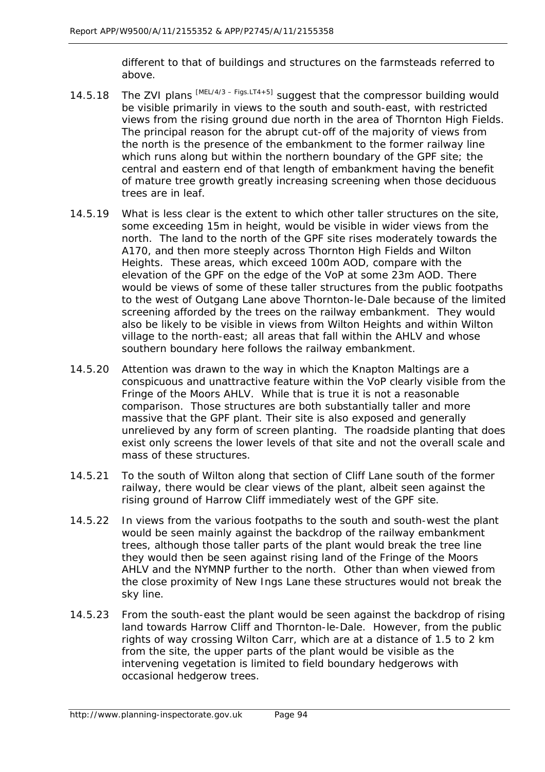different to that of buildings and structures on the farmsteads referred to above.

- 14.5.18 The ZVI plans  $^{[MEL/4/3 Figs. LTA+5]}$  suggest that the compressor building would be visible primarily in views to the south and south-east, with restricted views from the rising ground due north in the area of Thornton High Fields. The principal reason for the abrupt cut-off of the majority of views from the north is the presence of the embankment to the former railway line which runs along but within the northern boundary of the GPF site; the central and eastern end of that length of embankment having the benefit of mature tree growth greatly increasing screening when those deciduous trees are in leaf.
- 14.5.19 What is less clear is the extent to which other taller structures on the site, some exceeding 15m in height, would be visible in wider views from the north. The land to the north of the GPF site rises moderately towards the A170, and then more steeply across Thornton High Fields and Wilton Heights. These areas, which exceed 100m AOD, compare with the elevation of the GPF on the edge of the VoP at some 23m AOD. There would be views of some of these taller structures from the public footpaths to the west of Outgang Lane above Thornton-le-Dale because of the limited screening afforded by the trees on the railway embankment. They would also be likely to be visible in views from Wilton Heights and within Wilton village to the north-east; all areas that fall within the AHLV and whose southern boundary here follows the railway embankment.
- 14.5.20 Attention was drawn to the way in which the Knapton Maltings are a conspicuous and unattractive feature within the VoP clearly visible from the Fringe of the Moors AHLV. While that is true it is not a reasonable comparison. Those structures are both substantially taller and more massive that the GPF plant. Their site is also exposed and generally unrelieved by any form of screen planting. The roadside planting that does exist only screens the lower levels of that site and not the overall scale and mass of these structures.
- 14.5.21 To the south of Wilton along that section of Cliff Lane south of the former railway, there would be clear views of the plant, albeit seen against the rising ground of Harrow Cliff immediately west of the GPF site.
- 14.5.22 In views from the various footpaths to the south and south-west the plant would be seen mainly against the backdrop of the railway embankment trees, although those taller parts of the plant would break the tree line they would then be seen against rising land of the Fringe of the Moors AHLV and the NYMNP further to the north. Other than when viewed from the close proximity of New Ings Lane these structures would not break the sky line.
- 14.5.23 From the south-east the plant would be seen against the backdrop of rising land towards Harrow Cliff and Thornton-le-Dale. However, from the public rights of way crossing Wilton Carr, which are at a distance of 1.5 to 2 km from the site, the upper parts of the plant would be visible as the intervening vegetation is limited to field boundary hedgerows with occasional hedgerow trees.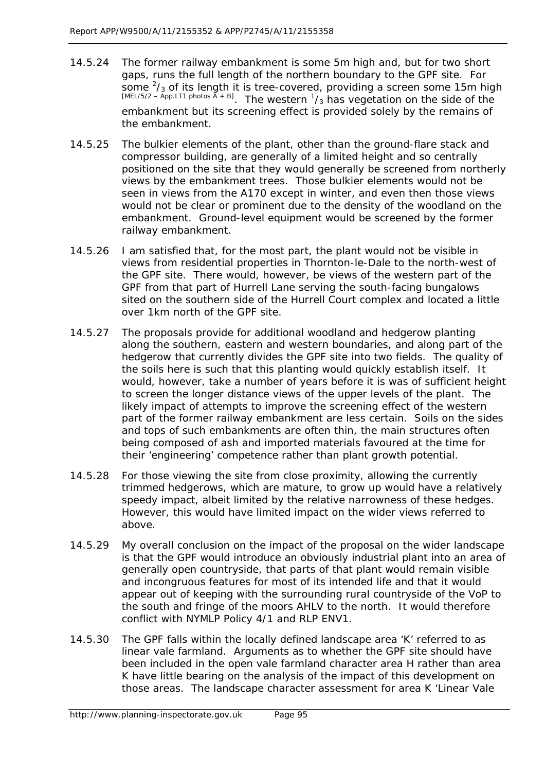- 14.5.24 The former railway embankment is some 5m high and, but for two short gaps, runs the full length of the northern boundary to the GPF site. For some  $2/3$  of its length it is tree-covered, providing a screen some 15m high [MEL/5/2 – App.LT1 photos  $\bar{A}$  + B]. The western  $\frac{1}{3}$  has vegetation on the side of the embankment but its screening effect is provided solely by the remains of the embankment.
- 14.5.25 The bulkier elements of the plant, other than the ground-flare stack and compressor building, are generally of a limited height and so centrally positioned on the site that they would generally be screened from northerly views by the embankment trees. Those bulkier elements would not be seen in views from the A170 except in winter, and even then those views would not be clear or prominent due to the density of the woodland on the embankment. Ground-level equipment would be screened by the former railway embankment.
- 14.5.26 I am satisfied that, for the most part, the plant would not be visible in views from residential properties in Thornton-le-Dale to the north-west of the GPF site. There would, however, be views of the western part of the GPF from that part of Hurrell Lane serving the south-facing bungalows sited on the southern side of the Hurrell Court complex and located a little over 1km north of the GPF site.
- 14.5.27 The proposals provide for additional woodland and hedgerow planting along the southern, eastern and western boundaries, and along part of the hedgerow that currently divides the GPF site into two fields. The quality of the soils here is such that this planting would quickly establish itself. It would, however, take a number of years before it is was of sufficient height to screen the longer distance views of the upper levels of the plant. The likely impact of attempts to improve the screening effect of the western part of the former railway embankment are less certain. Soils on the sides and tops of such embankments are often thin, the main structures often being composed of ash and imported materials favoured at the time for their 'engineering' competence rather than plant growth potential.
- 14.5.28 For those viewing the site from close proximity, allowing the currently trimmed hedgerows, which are mature, to grow up would have a relatively speedy impact, albeit limited by the relative narrowness of these hedges. However, this would have limited impact on the wider views referred to above.
- 14.5.29 My overall conclusion on the impact of the proposal on the wider landscape is that the GPF would introduce an obviously industrial plant into an area of generally open countryside, that parts of that plant would remain visible and incongruous features for most of its intended life and that it would appear out of keeping with the surrounding rural countryside of the VoP to the south and fringe of the moors AHLV to the north. It would therefore conflict with NYMLP Policy 4/1 and RLP ENV1.
- 14.5.30 The GPF falls within the locally defined landscape area 'K' referred to as linear vale farmland. Arguments as to whether the GPF site should have been included in the open vale farmland character area H rather than area K have little bearing on the analysis of the impact of this development on those areas. The landscape character assessment for area K 'Linear Vale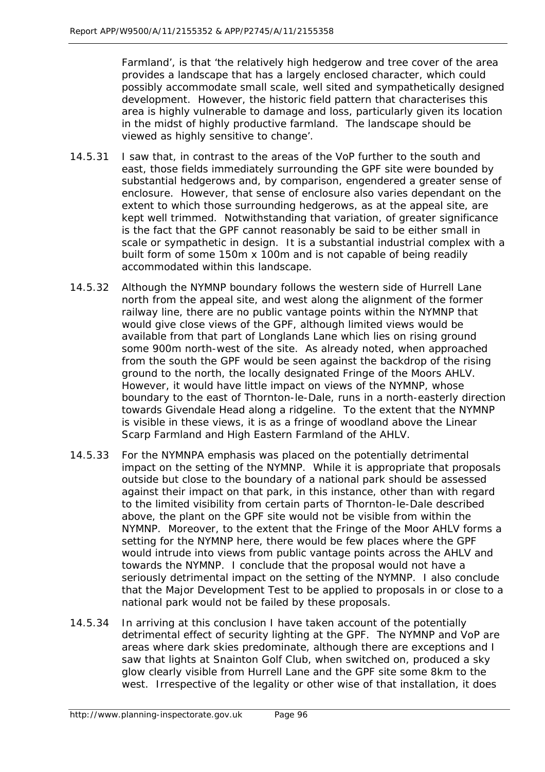Farmland', is that '*the relatively high hedgerow and tree cover of the area provides a landscape that has a largely enclosed character, which could possibly accommodate small scale, well sited and sympathetically designed development. However, the historic field pattern that characterises this area is highly vulnerable to damage and loss, particularly given its location in the midst of highly productive farmland. The landscape should be viewed as highly sensitive to change'*.

- 14.5.31 I saw that, in contrast to the areas of the VoP further to the south and east, those fields immediately surrounding the GPF site were bounded by substantial hedgerows and, by comparison, engendered a greater sense of enclosure. However, that sense of enclosure also varies dependant on the extent to which those surrounding hedgerows, as at the appeal site, are kept well trimmed. Notwithstanding that variation, of greater significance is the fact that the GPF cannot reasonably be said to be either small in scale or sympathetic in design. It is a substantial industrial complex with a built form of some 150m x 100m and is not capable of being readily accommodated within this landscape.
- 14.5.32 Although the NYMNP boundary follows the western side of Hurrell Lane north from the appeal site, and west along the alignment of the former railway line, there are no public vantage points within the NYMNP that would give close views of the GPF, although limited views would be available from that part of Longlands Lane which lies on rising ground some 900m north-west of the site. As already noted, when approached from the south the GPF would be seen against the backdrop of the rising ground to the north, the locally designated Fringe of the Moors AHLV. However, it would have little impact on views of the NYMNP, whose boundary to the east of Thornton-le-Dale, runs in a north-easterly direction towards Givendale Head along a ridgeline. To the extent that the NYMNP is visible in these views, it is as a fringe of woodland above the Linear Scarp Farmland and High Eastern Farmland of the AHLV.
- 14.5.33 For the NYMNPA emphasis was placed on the potentially detrimental impact on the setting of the NYMNP. While it is appropriate that proposals outside but close to the boundary of a national park should be assessed against their impact on that park, in this instance, other than with regard to the limited visibility from certain parts of Thornton-le-Dale described above, the plant on the GPF site would not be visible from within the NYMNP. Moreover, to the extent that the Fringe of the Moor AHLV forms a setting for the NYMNP here, there would be few places where the GPF would intrude into views from public vantage points across the AHLV and towards the NYMNP. I conclude that the proposal would not have a seriously detrimental impact on the setting of the NYMNP. I also conclude that the Major Development Test to be applied to proposals in or close to a national park would not be failed by these proposals.
- 14.5.34 In arriving at this conclusion I have taken account of the potentially detrimental effect of security lighting at the GPF. The NYMNP and VoP are areas where dark skies predominate, although there are exceptions and I saw that lights at Snainton Golf Club, when switched on, produced a sky glow clearly visible from Hurrell Lane and the GPF site some 8km to the west. Irrespective of the legality or other wise of that installation, it does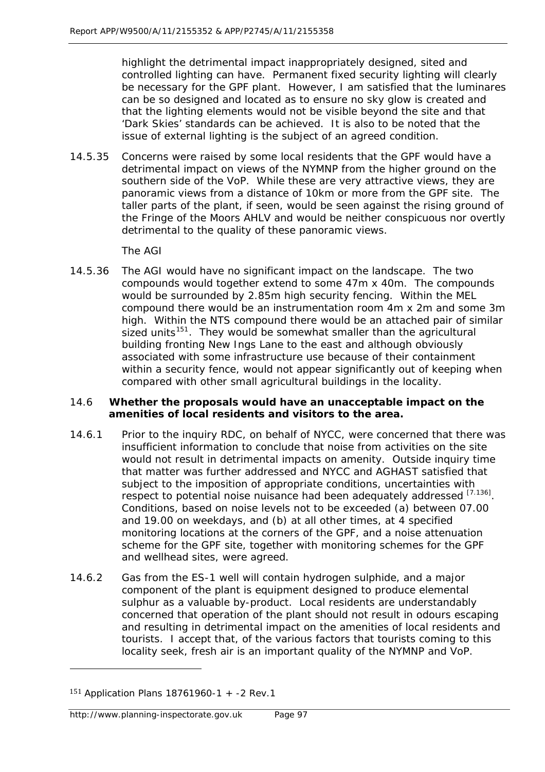highlight the detrimental impact inappropriately designed, sited and controlled lighting can have. Permanent fixed security lighting will clearly be necessary for the GPF plant. However, I am satisfied that the luminares can be so designed and located as to ensure no sky glow is created and that the lighting elements would not be visible beyond the site and that 'Dark Skies' standards can be achieved. It is also to be noted that the issue of external lighting is the subject of an agreed condition.

14.5.35 Concerns were raised by some local residents that the GPF would have a detrimental impact on views of the NYMNP from the higher ground on the southern side of the VoP. While these are very attractive views, they are panoramic views from a distance of 10km or more from the GPF site. The taller parts of the plant, if seen, would be seen against the rising ground of the Fringe of the Moors AHLV and would be neither conspicuous nor overtly detrimental to the quality of these panoramic views.

The AGI

14.5.36 The AGI would have no significant impact on the landscape. The two compounds would together extend to some 47m x 40m. The compounds would be surrounded by 2.85m high security fencing. Within the MEL compound there would be an instrumentation room 4m x 2m and some 3m high. Within the NTS compound there would be an attached pair of similar sized units<sup>[151](#page-20-0)</sup>. They would be somewhat smaller than the agricultural building fronting New Ings Lane to the east and although obviously associated with some infrastructure use because of their containment within a security fence, would not appear significantly out of keeping when compared with other small agricultural buildings in the locality.

### 14.6 **Whether the proposals would have an unacceptable impact on the amenities of local residents and visitors to the area.**

- 14.6.1 Prior to the inquiry RDC, on behalf of NYCC, were concerned that there was insufficient information to conclude that noise from activities on the site would not result in detrimental impacts on amenity. Outside inquiry time that matter was further addressed and NYCC and AGHAST satisfied that subject to the imposition of appropriate conditions, uncertainties with respect to potential noise nuisance had been adequately addressed [7.136]. Conditions, based on noise levels not to be exceeded (a) between 07.00 and 19.00 on weekdays, and (b) at all other times, at 4 specified monitoring locations at the corners of the GPF, and a noise attenuation scheme for the GPF site, together with monitoring schemes for the GPF and wellhead sites, were agreed.
- 14.6.2 Gas from the ES-1 well will contain hydrogen sulphide, and a major component of the plant is equipment designed to produce elemental sulphur as a valuable by-product. Local residents are understandably concerned that operation of the plant should not result in odours escaping and resulting in detrimental impact on the amenities of local residents and tourists. I accept that, of the various factors that tourists coming to this locality seek, fresh air is an important quality of the NYMNP and VoP.

j

<span id="page-20-0"></span><sup>151</sup> Application Plans 18761960-1 + -2 Rev.1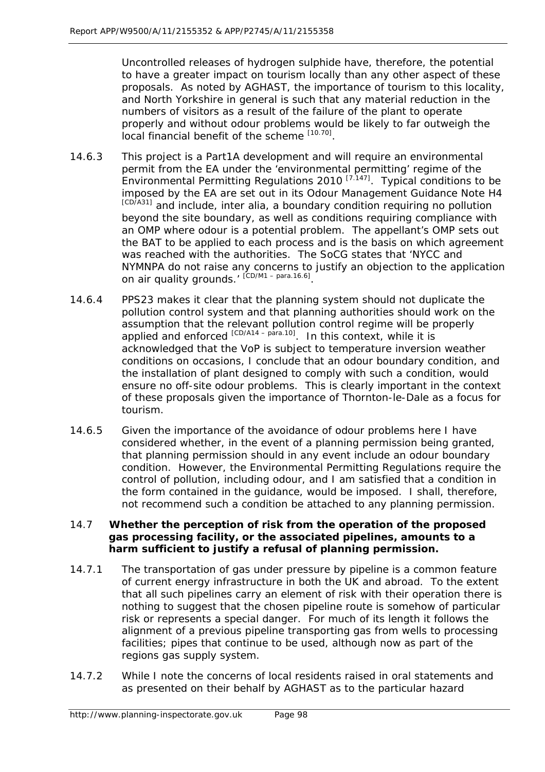Uncontrolled releases of hydrogen sulphide have, therefore, the potential to have a greater impact on tourism locally than any other aspect of these proposals. As noted by AGHAST, the importance of tourism to this locality, and North Yorkshire in general is such that any material reduction in the numbers of visitors as a result of the failure of the plant to operate properly and without odour problems would be likely to far outweigh the local financial benefit of the scheme [10.70].

- 14.6.3 This project is a Part1A development and will require an environmental permit from the EA under the 'environmental permitting' regime of the Environmental Permitting Regulations 2010 [7.147]. Typical conditions to be imposed by the EA are set out in its Odour Management Guidance Note H4 [CD/A31] and include, inter alia, a boundary condition requiring no pollution beyond the site boundary, as well as conditions requiring compliance with an OMP where odour is a potential problem. The appellant's OMP sets out the BAT to be applied to each process and is the basis on which agreement was reached with the authorities. The SoCG states that '*NYCC and NYMNPA do not raise any concerns to justify an objection to the application on air quality grounds.'* [CD/M1 – para.16.6].
- 14.6.4 PPS23 makes it clear that the planning system should not duplicate the pollution control system and that planning authorities should work on the assumption that the relevant pollution control regime will be properly applied and enforced  $[CD/414 - para.10]$ . In this context, while it is acknowledged that the VoP is subject to temperature inversion weather conditions on occasions, I conclude that an odour boundary condition, and the installation of plant designed to comply with such a condition, would ensure no off-site odour problems. This is clearly important in the context of these proposals given the importance of Thornton-le-Dale as a focus for tourism.
- 14.6.5 Given the importance of the avoidance of odour problems here I have considered whether, in the event of a planning permission being granted, that planning permission should in any event include an odour boundary condition. However, the Environmental Permitting Regulations require the control of pollution, including odour, and I am satisfied that a condition in the form contained in the guidance, would be imposed. I shall, therefore, not recommend such a condition be attached to any planning permission.

## 14.7 **Whether the perception of risk from the operation of the proposed gas processing facility, or the associated pipelines, amounts to a harm sufficient to justify a refusal of planning permission.**

- 14.7.1 The transportation of gas under pressure by pipeline is a common feature of current energy infrastructure in both the UK and abroad. To the extent that all such pipelines carry an element of risk with their operation there is nothing to suggest that the chosen pipeline route is somehow of particular risk or represents a special danger. For much of its length it follows the alignment of a previous pipeline transporting gas from wells to processing facilities; pipes that continue to be used, although now as part of the regions gas supply system.
- 14.7.2 While I note the concerns of local residents raised in oral statements and as presented on their behalf by AGHAST as to the particular hazard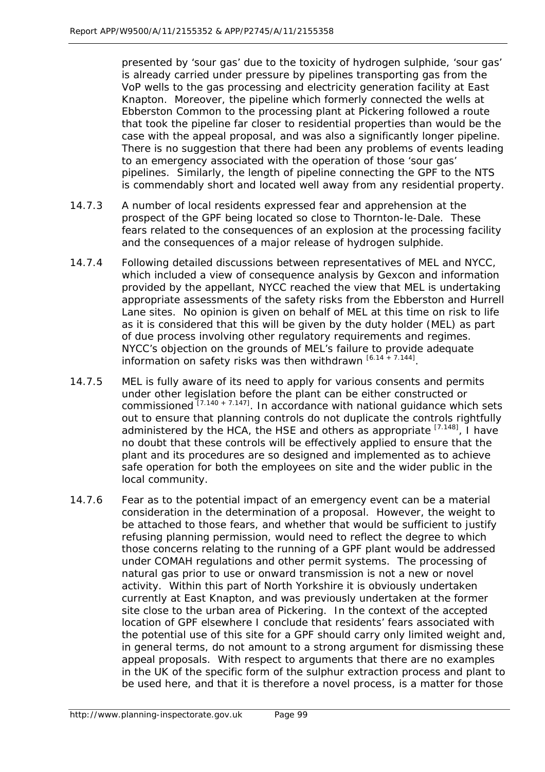presented by 'sour gas' due to the toxicity of hydrogen sulphide, 'sour gas' is already carried under pressure by pipelines transporting gas from the VoP wells to the gas processing and electricity generation facility at East Knapton. Moreover, the pipeline which formerly connected the wells at Ebberston Common to the processing plant at Pickering followed a route that took the pipeline far closer to residential properties than would be the case with the appeal proposal, and was also a significantly longer pipeline. There is no suggestion that there had been any problems of events leading to an emergency associated with the operation of those 'sour gas' pipelines. Similarly, the length of pipeline connecting the GPF to the NTS is commendably short and located well away from any residential property.

- 14.7.3 A number of local residents expressed fear and apprehension at the prospect of the GPF being located so close to Thornton-le-Dale. These fears related to the consequences of an explosion at the processing facility and the consequences of a major release of hydrogen sulphide.
- 14.7.4 Following detailed discussions between representatives of MEL and NYCC, which included a view of consequence analysis by Gexcon and information provided by the appellant, NYCC reached the view that MEL is undertaking appropriate assessments of the safety risks from the Ebberston and Hurrell Lane sites. No opinion is given on behalf of MEL at this time on risk to life as it is considered that this will be given by the duty holder (MEL) as part of due process involving other regulatory requirements and regimes. NYCC's objection on the grounds of MEL's failure to provide adequate information on safety risks was then withdrawn  $[6.14 + 7.144]$ .
- 14.7.5 MEL is fully aware of its need to apply for various consents and permits under other legislation before the plant can be either constructed or commissioned  $[7.140 + 7.147]$ . In accordance with national quidance which sets out to ensure that planning controls do not duplicate the controls rightfully administered by the HCA, the HSE and others as appropriate  $^{[7.148]}$ , I have no doubt that these controls will be effectively applied to ensure that the plant and its procedures are so designed and implemented as to achieve safe operation for both the employees on site and the wider public in the local community.
- 14.7.6 Fear as to the potential impact of an emergency event can be a material consideration in the determination of a proposal. However, the weight to be attached to those fears, and whether that would be sufficient to justify refusing planning permission, would need to reflect the degree to which those concerns relating to the running of a GPF plant would be addressed under COMAH regulations and other permit systems. The processing of natural gas prior to use or onward transmission is not a new or novel activity. Within this part of North Yorkshire it is obviously undertaken currently at East Knapton, and was previously undertaken at the former site close to the urban area of Pickering. In the context of the accepted location of GPF elsewhere I conclude that residents' fears associated with the potential use of this site for a GPF should carry only limited weight and, in general terms, do not amount to a strong argument for dismissing these appeal proposals. With respect to arguments that there are no examples in the UK of the specific form of the sulphur extraction process and plant to be used here, and that it is therefore a novel process, is a matter for those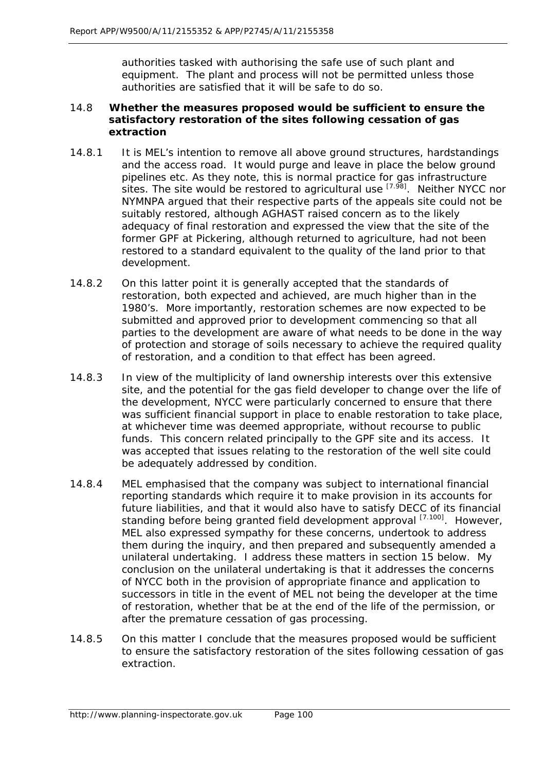authorities tasked with authorising the safe use of such plant and equipment. The plant and process will not be permitted unless those authorities are satisfied that it will be safe to do so.

### 14.8 **Whether the measures proposed would be sufficient to ensure the satisfactory restoration of the sites following cessation of gas extraction**

- 14.8.1 It is MEL's intention to remove all above ground structures, hardstandings and the access road. It would purge and leave in place the below ground pipelines etc. As they note, this is normal practice for gas infrastructure sites. The site would be restored to agricultural use  $[7.98]$ . Neither NYCC nor NYMNPA argued that their respective parts of the appeals site could not be suitably restored, although AGHAST raised concern as to the likely adequacy of final restoration and expressed the view that the site of the former GPF at Pickering, although returned to agriculture, had not been restored to a standard equivalent to the quality of the land prior to that development.
- 14.8.2 On this latter point it is generally accepted that the standards of restoration, both expected and achieved, are much higher than in the 1980's. More importantly, restoration schemes are now expected to be submitted and approved prior to development commencing so that all parties to the development are aware of what needs to be done in the way of protection and storage of soils necessary to achieve the required quality of restoration, and a condition to that effect has been agreed.
- 14.8.3 In view of the multiplicity of land ownership interests over this extensive site, and the potential for the gas field developer to change over the life of the development, NYCC were particularly concerned to ensure that there was sufficient financial support in place to enable restoration to take place, at whichever time was deemed appropriate, without recourse to public funds. This concern related principally to the GPF site and its access. It was accepted that issues relating to the restoration of the well site could be adequately addressed by condition.
- 14.8.4 MEL emphasised that the company was subject to international financial reporting standards which require it to make provision in its accounts for future liabilities, and that it would also have to satisfy DECC of its financial standing before being granted field development approval [7.100]. However, MEL also expressed sympathy for these concerns, undertook to address them during the inquiry, and then prepared and subsequently amended a unilateral undertaking. I address these matters in section 15 below. My conclusion on the unilateral undertaking is that it addresses the concerns of NYCC both in the provision of appropriate finance and application to successors in title in the event of MEL not being the developer at the time of restoration, whether that be at the end of the life of the permission, or after the premature cessation of gas processing.
- 14.8.5 On this matter I conclude that the measures proposed would be sufficient to ensure the satisfactory restoration of the sites following cessation of gas extraction.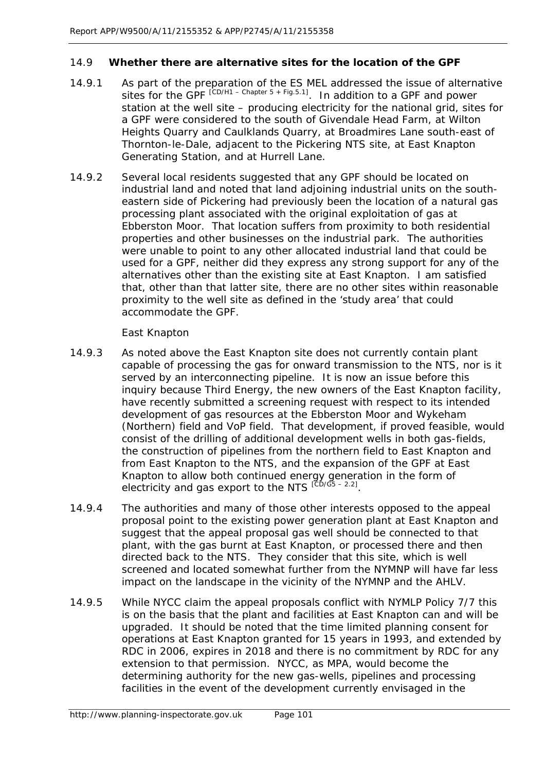## 14.9 **Whether there are alternative sites for the location of the GPF**

- 14.9.1 As part of the preparation of the ES MEL addressed the issue of alternative sites for the GPF  $^{[CD/H1 - Chapter 5 + Fig.5.1]}$ . In addition to a GPF and power station at the well site – producing electricity for the national grid, sites for a GPF were considered to the south of Givendale Head Farm, at Wilton Heights Quarry and Caulklands Quarry, at Broadmires Lane south-east of Thornton-le-Dale, adjacent to the Pickering NTS site, at East Knapton Generating Station, and at Hurrell Lane.
- 14.9.2 Several local residents suggested that any GPF should be located on industrial land and noted that land adjoining industrial units on the southeastern side of Pickering had previously been the location of a natural gas processing plant associated with the original exploitation of gas at Ebberston Moor. That location suffers from proximity to both residential properties and other businesses on the industrial park. The authorities were unable to point to any other allocated industrial land that could be used for a GPF, neither did they express any strong support for any of the alternatives other than the existing site at East Knapton. I am satisfied that, other than that latter site, there are no other sites within reasonable proximity to the well site as defined in the 'study area' that could accommodate the GPF.

East Knapton

- 14.9.3 As noted above the East Knapton site does not currently contain plant capable of processing the gas for onward transmission to the NTS, nor is it served by an interconnecting pipeline. It is now an issue before this inquiry because Third Energy, the new owners of the East Knapton facility, have recently submitted a screening request with respect to its intended development of gas resources at the Ebberston Moor and Wykeham (Northern) field and VoP field. That development, if proved feasible, would consist of the drilling of additional development wells in both gas-fields, the construction of pipelines from the northern field to East Knapton and from East Knapton to the NTS, and the expansion of the GPF at East Knapton to allow both continued energy generation in the form of electricity and gas export to the NTS  $120/165 - 2.21$ .
- 14.9.4 The authorities and many of those other interests opposed to the appeal proposal point to the existing power generation plant at East Knapton and suggest that the appeal proposal gas well should be connected to that plant, with the gas burnt at East Knapton, or processed there and then directed back to the NTS. They consider that this site, which is well screened and located somewhat further from the NYMNP will have far less impact on the landscape in the vicinity of the NYMNP and the AHLV.
- 14.9.5 While NYCC claim the appeal proposals conflict with NYMLP Policy 7/7 this is on the basis that the plant and facilities at East Knapton can and will be upgraded. It should be noted that the time limited planning consent for operations at East Knapton granted for 15 years in 1993, and extended by RDC in 2006, expires in 2018 and there is no commitment by RDC for any extension to that permission. NYCC, as MPA, would become the determining authority for the new gas-wells, pipelines and processing facilities in the event of the development currently envisaged in the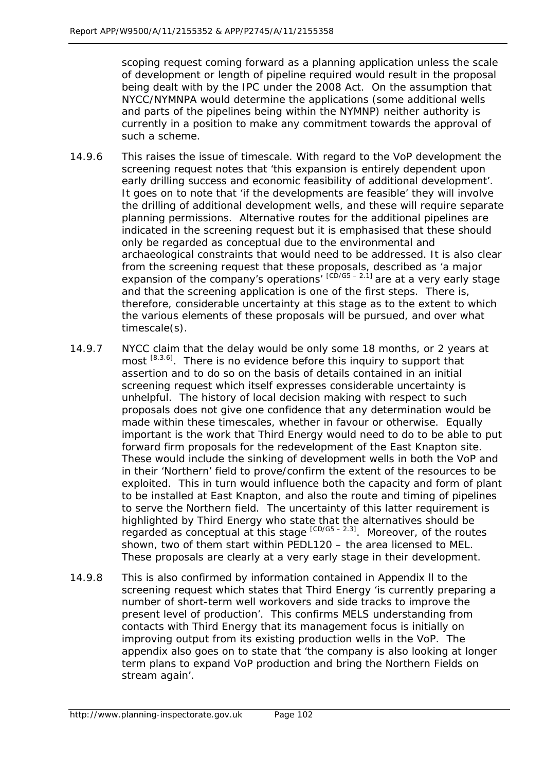scoping request coming forward as a planning application unless the scale of development or length of pipeline required would result in the proposal being dealt with by the IPC under the 2008 Act. On the assumption that NYCC/NYMNPA would determine the applications (some additional wells and parts of the pipelines being within the NYMNP) neither authority is currently in a position to make any commitment towards the approval of such a scheme.

- 14.9.6 This raises the issue of timescale. With regard to the VoP development the screening request notes that *'this expansion is entirely dependent upon early drilling success and economic feasibility of additional development'*. It goes on to note that '*if the developments are feasible*' they will involve the drilling of additional development wells, and these will require separate planning permissions. Alternative routes for the additional pipelines are indicated in the screening request but it is emphasised that these should only be regarded as conceptual due to the environmental and archaeological constraints that would need to be addressed. It is also clear from the screening request that these proposals, described as '*a major*  expansion of the company's operations' <sup>[CD/G5-2.1]</sup> are at a very early stage and that the screening application is one of the first steps. There is, therefore, considerable uncertainty at this stage as to the extent to which the various elements of these proposals will be pursued, and over what timescale(s).
- 14.9.7 NYCC claim that the delay would be only some 18 months, or 2 years at most [8.3.6]. There is no evidence before this inquiry to support that assertion and to do so on the basis of details contained in an initial screening request which itself expresses considerable uncertainty is unhelpful. The history of local decision making with respect to such proposals does not give one confidence that any determination would be made within these timescales, whether in favour or otherwise. Equally important is the work that Third Energy would need to do to be able to put forward firm proposals for the redevelopment of the East Knapton site. These would include the sinking of development wells in both the VoP and in their 'Northern' field to prove/confirm the extent of the resources to be exploited. This in turn would influence both the capacity and form of plant to be installed at East Knapton, and also the route and timing of pipelines to serve the Northern field. The uncertainty of this latter requirement is highlighted by Third Energy who state that the alternatives should be regarded as conceptual at this stage  $[CD/G5 - 2.3]$ . Moreover, of the routes shown, two of them start within PEDL120 – the area licensed to MEL. These proposals are clearly at a very early stage in their development.
- 14.9.8 This is also confirmed by information contained in Appendix ll to the screening request which states that Third Energy *'is currently preparing a number of short-term well workovers and side tracks to improve the present level of production'*. This confirms MELS understanding from contacts with Third Energy that its management focus is initially on improving output from its existing production wells in the VoP. The appendix also goes on to state *that 'the company is also looking at longer term plans to expand VoP production and bring the Northern Fields on stream again'.*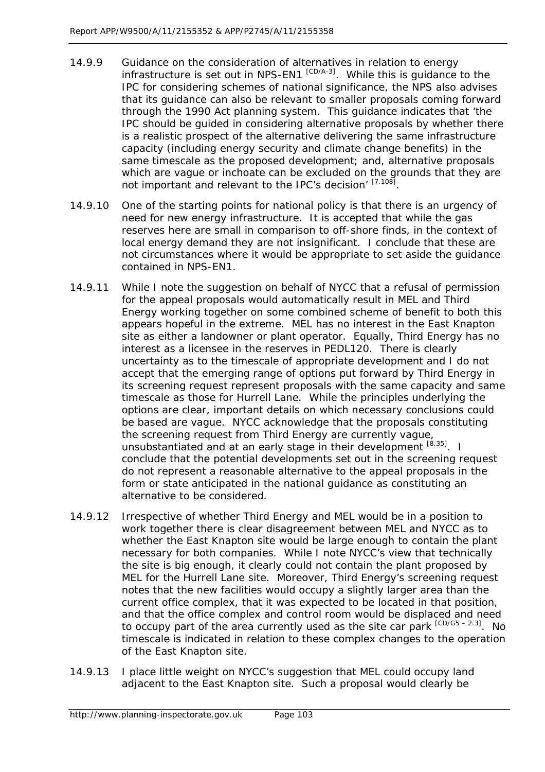- 14.9.9 Guidance on the consideration of alternatives in relation to energy infrastructure is set out in NPS-EN1  $[CD/4-3]$ . While this is quidance to the IPC for considering schemes of national significance, the NPS also advises that its guidance can also be relevant to smaller proposals coming forward through the 1990 Act planning system. This guidance indicates that '*the IPC should be quided in considering alternative proposals by whether there is a realistic prospect of the alternative delivering the same infrastructure capacity (including energy security and climate change benefits) in the same timescale as the proposed development;* and, *alternative proposals which are vague or inchoate can be excluded on the grounds that they are not important and relevant to the IPC's decision*' [7.108].
- 14.9.10 One of the starting points for national policy is that there is an urgency of need for new energy infrastructure. It is accepted that while the gas reserves here are small in comparison to off-shore finds, in the context of local energy demand they are not insignificant. I conclude that these are not circumstances where it would be appropriate to set aside the guidance contained in NPS-EN1.
- 14.9.11 While I note the suggestion on behalf of NYCC that a refusal of permission for the appeal proposals would automatically result in MEL and Third Energy working together on some combined scheme of benefit to both this appears hopeful in the extreme. MEL has no interest in the East Knapton site as either a landowner or plant operator. Equally, Third Energy has no interest as a licensee in the reserves in PEDL120. There is clearly uncertainty as to the timescale of appropriate development and I do not accept that the emerging range of options put forward by Third Energy in its screening request represent proposals with the same capacity and same timescale as those for Hurrell Lane. While the principles underlying the options are clear, important details on which necessary conclusions could be based are vague. NYCC acknowledge that the proposals constituting the screening request from Third Energy are currently vague, unsubstantiated and at an early stage in their development [8.35]. I conclude that the potential developments set out in the screening request do not represent a reasonable alternative to the appeal proposals in the form or state anticipated in the national guidance as constituting an alternative to be considered.
- 14.9.12 Irrespective of whether Third Energy and MEL would be in a position to work together there is clear disagreement between MEL and NYCC as to whether the East Knapton site would be large enough to contain the plant necessary for both companies. While I note NYCC's view that technically the site is big enough, it clearly could not contain the plant proposed by MEL for the Hurrell Lane site. Moreover, Third Energy's screening request notes that the new facilities would occupy a slightly larger area than the current office complex, that it was expected to be located in that position, and that the office complex and control room would be displaced and need to occupy part of the area currently used as the site car park  $[CD/G5 - 2.3]$ . No timescale is indicated in relation to these complex changes to the operation of the East Knapton site.
- 14.9.13 I place little weight on NYCC's suggestion that MEL could occupy land adjacent to the East Knapton site. Such a proposal would clearly be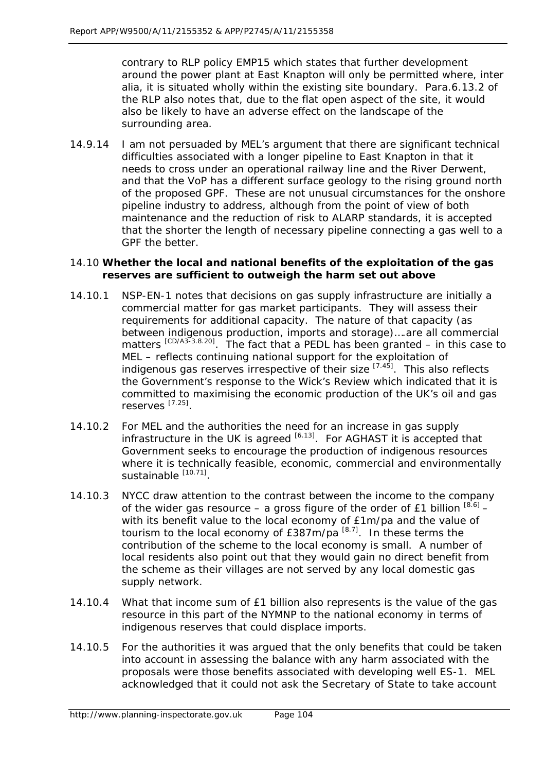contrary to RLP policy EMP15 which states that further development around the power plant at East Knapton will only be permitted where, inter alia, it is situated wholly within the existing site boundary. Para.6.13.2 of the RLP also notes that, due to the flat open aspect of the site, it would also be likely to have an adverse effect on the landscape of the surrounding area.

14.9.14 I am not persuaded by MEL's argument that there are significant technical difficulties associated with a longer pipeline to East Knapton in that it needs to cross under an operational railway line and the River Derwent, and that the VoP has a different surface geology to the rising ground north of the proposed GPF. These are not unusual circumstances for the onshore pipeline industry to address, although from the point of view of both maintenance and the reduction of risk to ALARP standards, it is accepted that the shorter the length of necessary pipeline connecting a gas well to a GPF the better.

## 14.10 **Whether the local and national benefits of the exploitation of the gas reserves are sufficient to outweigh the harm set out above**

- 14.10.1 NSP-EN-1 notes that decisions on gas supply infrastructure are initially a commercial matter for gas market participants. They will assess their requirements for additional capacity. *The nature of that capacity (as between indigenous production, imports and storage)….are all commercial*  matters<sup> [CD/A3-3.8.20].</sup> The fact that a PEDL has been granted – in this case to MEL – reflects continuing national support for the exploitation of indigenous gas reserves irrespective of their size  $[7.45]$ . This also reflects the Government's response to the Wick's Review which indicated that it is committed to maximising the economic production of the UK's oil and gas reserves [7.25].
- 14.10.2 For MEL and the authorities the need for an increase in gas supply infrastructure in the UK is agreed  $[6.13]$ . For AGHAST it is accepted that Government seeks to encourage the production of indigenous resources where it is technically feasible, economic, commercial and environmentally sustainable [10.71]
- 14.10.3 NYCC draw attention to the contrast between the income to the company of the wider gas resource – a gross figure of the order of £1 billion  $^{[8.6]}$  – with its benefit value to the local economy of £1m/pa and the value of tourism to the local economy of  $E387m/pa^{[8.7]}$ . In these terms the contribution of the scheme to the local economy is small. A number of local residents also point out that they would gain no direct benefit from the scheme as their villages are not served by any local domestic gas supply network.
- 14.10.4 What that income sum of £1 billion also represents is the value of the gas resource in this part of the NYMNP to the national economy in terms of indigenous reserves that could displace imports.
- 14.10.5 For the authorities it was argued that the only benefits that could be taken into account in assessing the balance with any harm associated with the proposals were those benefits associated with developing well ES-1. MEL acknowledged that it could not ask the Secretary of State to take account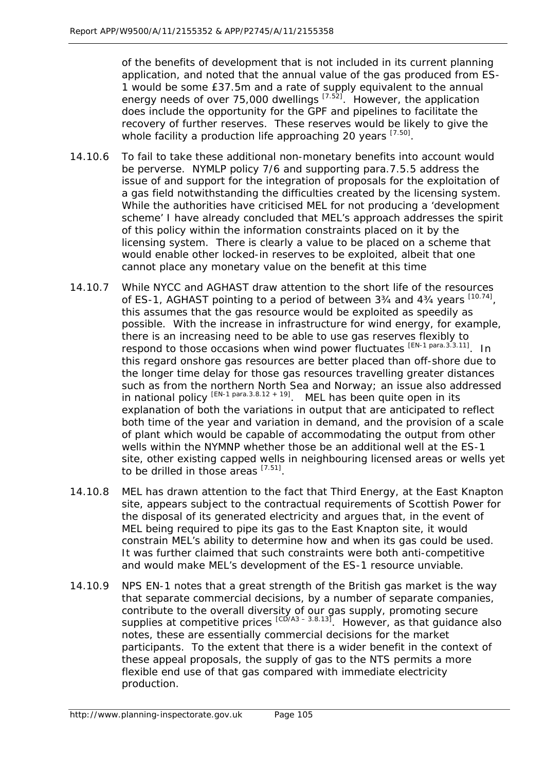of the benefits of development that is not included in its current planning application, and noted that the annual value of the gas produced from ES-1 would be some £37.5m and a rate of supply equivalent to the annual energy needs of over 75,000 dwellings  $[7.52]$ . However, the application does include the opportunity for the GPF and pipelines to facilitate the recovery of further reserves. These reserves would be likely to give the whole facility a production life approaching 20 years [7.50].

- 14.10.6 To fail to take these additional non-monetary benefits into account would be perverse. NYMLP policy 7/6 and supporting para.7.5.5 address the issue of and support for the integration of proposals for the exploitation of a gas field notwithstanding the difficulties created by the licensing system. While the authorities have criticised MEL for not producing a 'development scheme' I have already concluded that MEL's approach addresses the spirit of this policy within the information constraints placed on it by the licensing system. There is clearly a value to be placed on a scheme that would enable other locked-in reserves to be exploited, albeit that one cannot place any monetary value on the benefit at this time
- 14.10.7 While NYCC and AGHAST draw attention to the short life of the resources of ES-1, AGHAST pointing to a period of between  $3\frac{3}{4}$  and  $4\frac{3}{4}$  years  $[10.74]$ , this assumes that the gas resource would be exploited as speedily as possible. With the increase in infrastructure for wind energy, for example, there is an increasing need to be able to use gas reserves flexibly to respond to those occasions when wind power fluctuates [EN-1 para.3.3.11]. In this regard onshore gas resources are better placed than off-shore due to the longer time delay for those gas resources travelling greater distances such as from the northern North Sea and Norway; an issue also addressed in national policy  $[EN-1]$  para.3.8.12 + 19]. MEL has been quite open in its explanation of both the variations in output that are anticipated to reflect both time of the year and variation in demand, and the provision of a scale of plant which would be capable of accommodating the output from other wells within the NYMNP whether those be an additional well at the ES-1 site, other existing capped wells in neighbouring licensed areas or wells yet to be drilled in those areas [7.51].
- 14.10.8 MEL has drawn attention to the fact that Third Energy, at the East Knapton site, appears subject to the contractual requirements of Scottish Power for the disposal of its generated electricity and argues that, in the event of MEL being required to pipe its gas to the East Knapton site, it would constrain MEL's ability to determine how and when its gas could be used. It was further claimed that such constraints were both anti-competitive and would make MEL's development of the ES-1 resource unviable.
- 14.10.9 NPS EN-1 notes that a great strength of the British gas market is the way that separate commercial decisions, by a number of separate companies, contribute to the overall diversity of our gas supply, promoting secure supplies at competitive prices  $\left[\frac{CD^2}{A^3} - \frac{3.8.13}{2}\right]$ . However, as that guidance also notes, these are essentially commercial decisions for the market participants. To the extent that there is a wider benefit in the context of these appeal proposals, the supply of gas to the NTS permits a more flexible end use of that gas compared with immediate electricity production.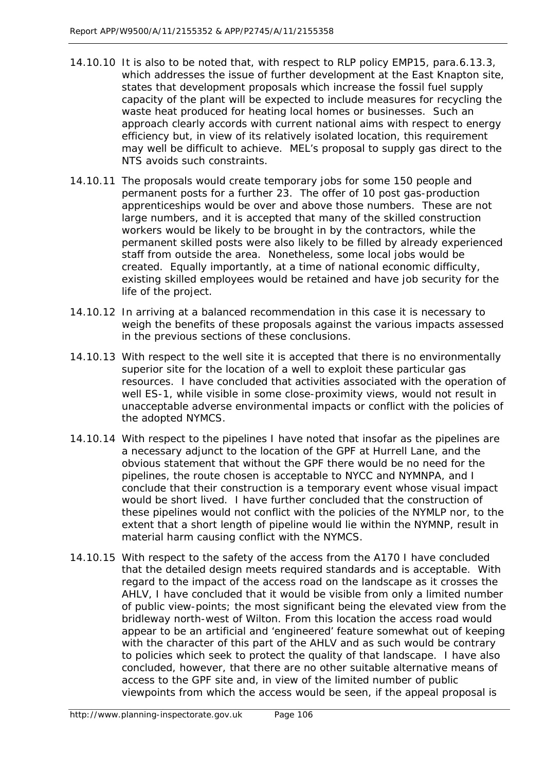- 14.10.10 It is also to be noted that, with respect to RLP policy EMP15, para.6.13.3, which addresses the issue of further development at the East Knapton site, states that *development proposals which increase the fossil fuel supply capacity of the plant will be expected to include measures for recycling the waste heat produced for heating local homes or businesses*. Such an approach clearly accords with current national aims with respect to energy efficiency but, in view of its relatively isolated location, this requirement may well be difficult to achieve. MEL's proposal to supply gas direct to the NTS avoids such constraints.
- 14.10.11 The proposals would create temporary jobs for some 150 people and permanent posts for a further 23. The offer of 10 post gas-production apprenticeships would be over and above those numbers. These are not large numbers, and it is accepted that many of the skilled construction workers would be likely to be brought in by the contractors, while the permanent skilled posts were also likely to be filled by already experienced staff from outside the area. Nonetheless, some local jobs would be created. Equally importantly, at a time of national economic difficulty, existing skilled employees would be retained and have job security for the life of the project.
- 14.10.12 In arriving at a balanced recommendation in this case it is necessary to weigh the benefits of these proposals against the various impacts assessed in the previous sections of these conclusions.
- 14.10.13 With respect to the well site it is accepted that there is no environmentally superior site for the location of a well to exploit these particular gas resources. I have concluded that activities associated with the operation of well ES-1, while visible in some close-proximity views, would not result in unacceptable adverse environmental impacts or conflict with the policies of the adopted NYMCS.
- 14.10.14 With respect to the pipelines I have noted that insofar as the pipelines are a necessary adjunct to the location of the GPF at Hurrell Lane, and the obvious statement that without the GPF there would be no need for the pipelines, the route chosen is acceptable to NYCC and NYMNPA, and I conclude that their construction is a temporary event whose visual impact would be short lived. I have further concluded that the construction of these pipelines would not conflict with the policies of the NYMLP nor, to the extent that a short length of pipeline would lie within the NYMNP, result in material harm causing conflict with the NYMCS.
- 14.10.15 With respect to the safety of the access from the A170 I have concluded that the detailed design meets required standards and is acceptable. With regard to the impact of the access road on the landscape as it crosses the AHLV, I have concluded that it would be visible from only a limited number of public view-points; the most significant being the elevated view from the bridleway north-west of Wilton. From this location the access road would appear to be an artificial and 'engineered' feature somewhat out of keeping with the character of this part of the AHLV and as such would be contrary to policies which seek to protect the quality of that landscape. I have also concluded, however, that there are no other suitable alternative means of access to the GPF site and, in view of the limited number of public viewpoints from which the access would be seen, if the appeal proposal is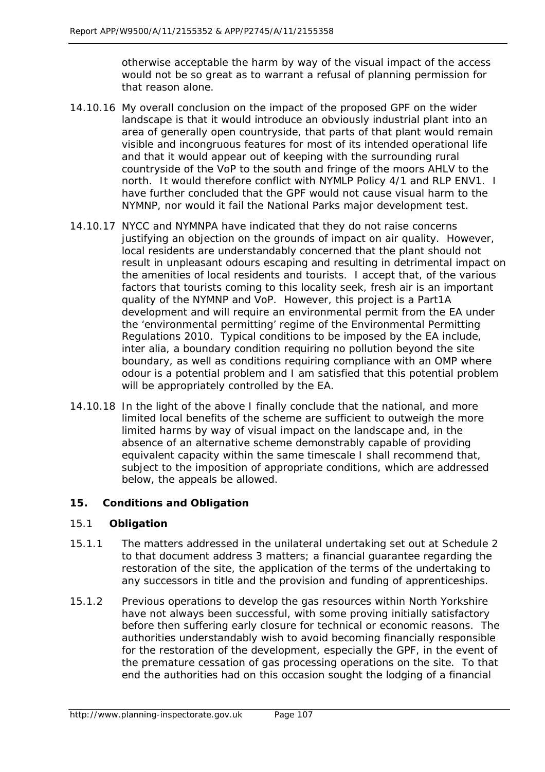otherwise acceptable the harm by way of the visual impact of the access would not be so great as to warrant a refusal of planning permission for that reason alone.

- 14.10.16 My overall conclusion on the impact of the proposed GPF on the wider landscape is that it would introduce an obviously industrial plant into an area of generally open countryside, that parts of that plant would remain visible and incongruous features for most of its intended operational life and that it would appear out of keeping with the surrounding rural countryside of the VoP to the south and fringe of the moors AHLV to the north. It would therefore conflict with NYMLP Policy 4/1 and RLP ENV1. I have further concluded that the GPF would not cause visual harm to the NYMNP, nor would it fail the National Parks major development test.
- 14.10.17 NYCC and NYMNPA have indicated that they do not raise concerns justifying an objection on the grounds of impact on air quality. However, local residents are understandably concerned that the plant should not result in unpleasant odours escaping and resulting in detrimental impact on the amenities of local residents and tourists. I accept that, of the various factors that tourists coming to this locality seek, fresh air is an important quality of the NYMNP and VoP. However, this project is a Part1A development and will require an environmental permit from the EA under the 'environmental permitting' regime of the Environmental Permitting Regulations 2010. Typical conditions to be imposed by the EA include, inter alia, a boundary condition requiring no pollution beyond the site boundary, as well as conditions requiring compliance with an OMP where odour is a potential problem and I am satisfied that this potential problem will be appropriately controlled by the EA.
- 14.10.18 In the light of the above I finally conclude that the national, and more limited local benefits of the scheme are sufficient to outweigh the more limited harms by way of visual impact on the landscape and, in the absence of an alternative scheme demonstrably capable of providing equivalent capacity within the same timescale I shall recommend that, subject to the imposition of appropriate conditions, which are addressed below, the appeals be allowed.

# **15. Conditions and Obligation**

# 15.1 **Obligation**

- 15.1.1 The matters addressed in the unilateral undertaking set out at Schedule 2 to that document address 3 matters; a financial guarantee regarding the restoration of the site, the application of the terms of the undertaking to any successors in title and the provision and funding of apprenticeships.
- 15.1.2 Previous operations to develop the gas resources within North Yorkshire have not always been successful, with some proving initially satisfactory before then suffering early closure for technical or economic reasons. The authorities understandably wish to avoid becoming financially responsible for the restoration of the development, especially the GPF, in the event of the premature cessation of gas processing operations on the site. To that end the authorities had on this occasion sought the lodging of a financial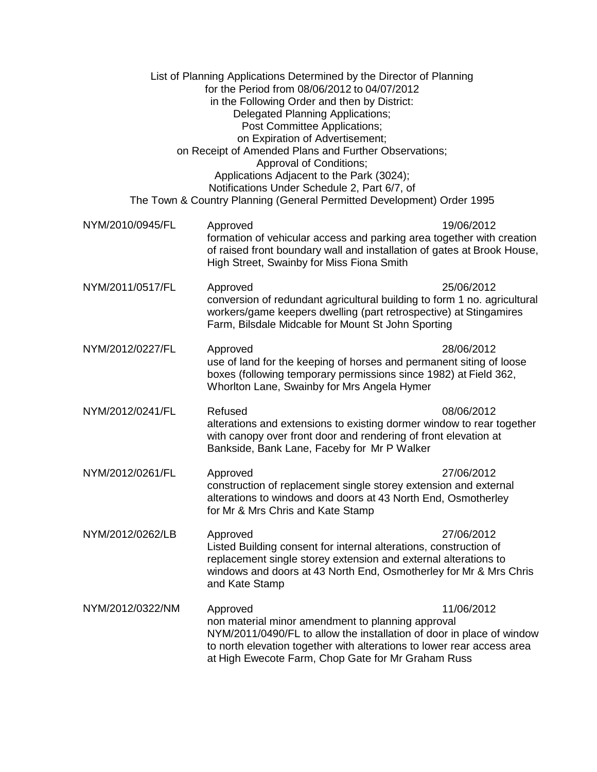|                  | List of Planning Applications Determined by the Director of Planning<br>for the Period from 08/06/2012 to 04/07/2012<br>in the Following Order and then by District:<br>Delegated Planning Applications;<br>Post Committee Applications;<br>on Expiration of Advertisement;<br>on Receipt of Amended Plans and Further Observations;<br>Approval of Conditions;<br>Applications Adjacent to the Park (3024);<br>Notifications Under Schedule 2, Part 6/7, of<br>The Town & Country Planning (General Permitted Development) Order 1995 |            |
|------------------|----------------------------------------------------------------------------------------------------------------------------------------------------------------------------------------------------------------------------------------------------------------------------------------------------------------------------------------------------------------------------------------------------------------------------------------------------------------------------------------------------------------------------------------|------------|
| NYM/2010/0945/FL | Approved<br>formation of vehicular access and parking area together with creation<br>of raised front boundary wall and installation of gates at Brook House,<br>High Street, Swainby for Miss Fiona Smith                                                                                                                                                                                                                                                                                                                              | 19/06/2012 |
| NYM/2011/0517/FL | Approved<br>conversion of redundant agricultural building to form 1 no. agricultural<br>workers/game keepers dwelling (part retrospective) at Stingamires<br>Farm, Bilsdale Midcable for Mount St John Sporting                                                                                                                                                                                                                                                                                                                        | 25/06/2012 |
| NYM/2012/0227/FL | 28/06/2012<br>Approved<br>use of land for the keeping of horses and permanent siting of loose<br>boxes (following temporary permissions since 1982) at Field 362,<br>Whorlton Lane, Swainby for Mrs Angela Hymer                                                                                                                                                                                                                                                                                                                       |            |
| NYM/2012/0241/FL | Refused<br>alterations and extensions to existing dormer window to rear together<br>with canopy over front door and rendering of front elevation at<br>Bankside, Bank Lane, Faceby for Mr P Walker                                                                                                                                                                                                                                                                                                                                     | 08/06/2012 |
| NYM/2012/0261/FL | Approved<br>construction of replacement single storey extension and external<br>alterations to windows and doors at 43 North End, Osmotherley<br>for Mr & Mrs Chris and Kate Stamp                                                                                                                                                                                                                                                                                                                                                     | 27/06/2012 |
| NYM/2012/0262/LB | Approved<br>Listed Building consent for internal alterations, construction of<br>replacement single storey extension and external alterations to<br>windows and doors at 43 North End, Osmotherley for Mr & Mrs Chris<br>and Kate Stamp                                                                                                                                                                                                                                                                                                | 27/06/2012 |
| NYM/2012/0322/NM | Approved<br>non material minor amendment to planning approval<br>NYM/2011/0490/FL to allow the installation of door in place of window<br>to north elevation together with alterations to lower rear access area<br>at High Ewecote Farm, Chop Gate for Mr Graham Russ                                                                                                                                                                                                                                                                 | 11/06/2012 |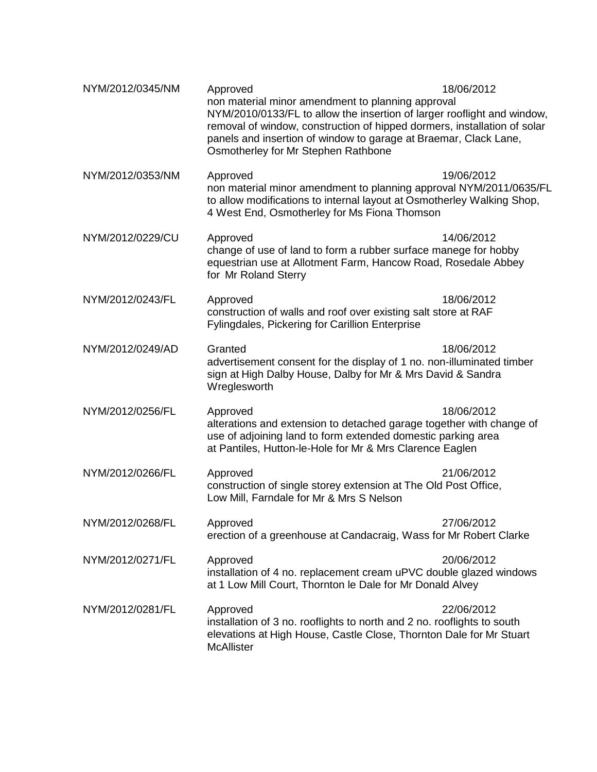| NYM/2012/0345/NM | Approved<br>non material minor amendment to planning approval<br>NYM/2010/0133/FL to allow the insertion of larger rooflight and window,<br>removal of window, construction of hipped dormers, installation of solar<br>panels and insertion of window to garage at Braemar, Clack Lane,<br>Osmotherley for Mr Stephen Rathbone | 18/06/2012 |
|------------------|---------------------------------------------------------------------------------------------------------------------------------------------------------------------------------------------------------------------------------------------------------------------------------------------------------------------------------|------------|
| NYM/2012/0353/NM | Approved<br>non material minor amendment to planning approval NYM/2011/0635/FL<br>to allow modifications to internal layout at Osmotherley Walking Shop,<br>4 West End, Osmotherley for Ms Fiona Thomson                                                                                                                        | 19/06/2012 |
| NYM/2012/0229/CU | Approved<br>change of use of land to form a rubber surface manege for hobby<br>equestrian use at Allotment Farm, Hancow Road, Rosedale Abbey<br>for Mr Roland Sterry                                                                                                                                                            | 14/06/2012 |
| NYM/2012/0243/FL | Approved<br>construction of walls and roof over existing salt store at RAF<br>Fylingdales, Pickering for Carillion Enterprise                                                                                                                                                                                                   | 18/06/2012 |
| NYM/2012/0249/AD | Granted<br>advertisement consent for the display of 1 no. non-illuminated timber<br>sign at High Dalby House, Dalby for Mr & Mrs David & Sandra<br>Wreglesworth                                                                                                                                                                 | 18/06/2012 |
| NYM/2012/0256/FL | Approved<br>alterations and extension to detached garage together with change of<br>use of adjoining land to form extended domestic parking area<br>at Pantiles, Hutton-le-Hole for Mr & Mrs Clarence Eaglen                                                                                                                    | 18/06/2012 |
| NYM/2012/0266/FL | Approved<br>construction of single storey extension at The Old Post Office,<br>Low Mill, Farndale for Mr & Mrs S Nelson                                                                                                                                                                                                         | 21/06/2012 |
| NYM/2012/0268/FL | Approved<br>erection of a greenhouse at Candacraig, Wass for Mr Robert Clarke                                                                                                                                                                                                                                                   | 27/06/2012 |
| NYM/2012/0271/FL | Approved<br>installation of 4 no. replacement cream uPVC double glazed windows<br>at 1 Low Mill Court, Thornton le Dale for Mr Donald Alvey                                                                                                                                                                                     | 20/06/2012 |
| NYM/2012/0281/FL | Approved<br>installation of 3 no. rooflights to north and 2 no. rooflights to south<br>elevations at High House, Castle Close, Thornton Dale for Mr Stuart<br><b>McAllister</b>                                                                                                                                                 | 22/06/2012 |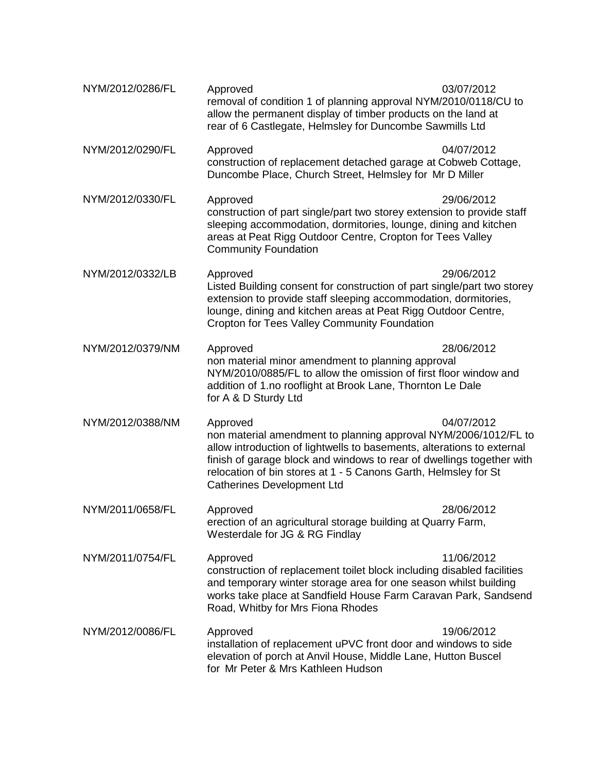| NYM/2012/0286/FL | Approved<br>removal of condition 1 of planning approval NYM/2010/0118/CU to<br>allow the permanent display of timber products on the land at<br>rear of 6 Castlegate, Helmsley for Duncombe Sawmills Ltd                                                                                                                               | 03/07/2012 |
|------------------|----------------------------------------------------------------------------------------------------------------------------------------------------------------------------------------------------------------------------------------------------------------------------------------------------------------------------------------|------------|
| NYM/2012/0290/FL | Approved<br>construction of replacement detached garage at Cobweb Cottage,<br>Duncombe Place, Church Street, Helmsley for Mr D Miller                                                                                                                                                                                                  | 04/07/2012 |
| NYM/2012/0330/FL | Approved<br>construction of part single/part two storey extension to provide staff<br>sleeping accommodation, dormitories, lounge, dining and kitchen<br>areas at Peat Rigg Outdoor Centre, Cropton for Tees Valley<br><b>Community Foundation</b>                                                                                     | 29/06/2012 |
| NYM/2012/0332/LB | Approved<br>Listed Building consent for construction of part single/part two storey<br>extension to provide staff sleeping accommodation, dormitories,<br>lounge, dining and kitchen areas at Peat Rigg Outdoor Centre,<br>Cropton for Tees Valley Community Foundation                                                                | 29/06/2012 |
| NYM/2012/0379/NM | Approved<br>non material minor amendment to planning approval<br>NYM/2010/0885/FL to allow the omission of first floor window and<br>addition of 1.no rooflight at Brook Lane, Thornton Le Dale<br>for A & D Sturdy Ltd                                                                                                                | 28/06/2012 |
| NYM/2012/0388/NM | Approved<br>non material amendment to planning approval NYM/2006/1012/FL to<br>allow introduction of lightwells to basements, alterations to external<br>finish of garage block and windows to rear of dwellings together with<br>relocation of bin stores at 1 - 5 Canons Garth, Helmsley for St<br><b>Catherines Development Ltd</b> | 04/07/2012 |
| NYM/2011/0658/FL | Approved<br>erection of an agricultural storage building at Quarry Farm,<br>Westerdale for JG & RG Findlay                                                                                                                                                                                                                             | 28/06/2012 |
| NYM/2011/0754/FL | Approved<br>construction of replacement toilet block including disabled facilities<br>and temporary winter storage area for one season whilst building<br>works take place at Sandfield House Farm Caravan Park, Sandsend<br>Road, Whitby for Mrs Fiona Rhodes                                                                         | 11/06/2012 |
| NYM/2012/0086/FL | Approved<br>installation of replacement uPVC front door and windows to side<br>elevation of porch at Anvil House, Middle Lane, Hutton Buscel<br>for Mr Peter & Mrs Kathleen Hudson                                                                                                                                                     | 19/06/2012 |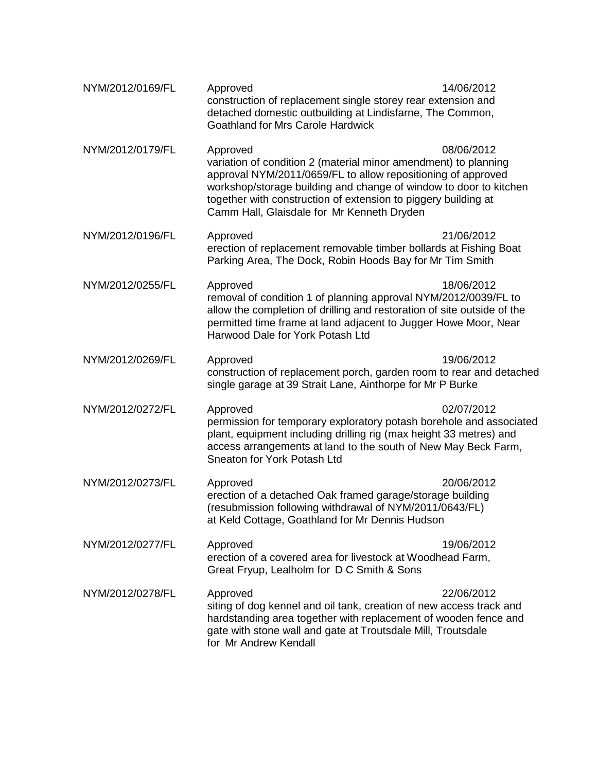| NYM/2012/0169/FL | Approved<br>construction of replacement single storey rear extension and<br>detached domestic outbuilding at Lindisfarne, The Common,<br><b>Goathland for Mrs Carole Hardwick</b>                                                                                                                                                | 14/06/2012 |
|------------------|----------------------------------------------------------------------------------------------------------------------------------------------------------------------------------------------------------------------------------------------------------------------------------------------------------------------------------|------------|
| NYM/2012/0179/FL | Approved<br>variation of condition 2 (material minor amendment) to planning<br>approval NYM/2011/0659/FL to allow repositioning of approved<br>workshop/storage building and change of window to door to kitchen<br>together with construction of extension to piggery building at<br>Camm Hall, Glaisdale for Mr Kenneth Dryden | 08/06/2012 |
| NYM/2012/0196/FL | Approved<br>erection of replacement removable timber bollards at Fishing Boat<br>Parking Area, The Dock, Robin Hoods Bay for Mr Tim Smith                                                                                                                                                                                        | 21/06/2012 |
| NYM/2012/0255/FL | Approved<br>18/06/2012<br>removal of condition 1 of planning approval NYM/2012/0039/FL to<br>allow the completion of drilling and restoration of site outside of the<br>permitted time frame at land adjacent to Jugger Howe Moor, Near<br>Harwood Dale for York Potash Ltd                                                      |            |
| NYM/2012/0269/FL | Approved<br>construction of replacement porch, garden room to rear and detached<br>single garage at 39 Strait Lane, Ainthorpe for Mr P Burke                                                                                                                                                                                     | 19/06/2012 |
| NYM/2012/0272/FL | Approved<br>permission for temporary exploratory potash borehole and associated<br>plant, equipment including drilling rig (max height 33 metres) and<br>access arrangements at land to the south of New May Beck Farm,<br>Sneaton for York Potash Ltd                                                                           | 02/07/2012 |
| NYM/2012/0273/FL | Approved<br>erection of a detached Oak framed garage/storage building<br>(resubmission following withdrawal of NYM/2011/0643/FL)<br>at Keld Cottage, Goathland for Mr Dennis Hudson                                                                                                                                              | 20/06/2012 |
| NYM/2012/0277/FL | Approved<br>erection of a covered area for livestock at Woodhead Farm,<br>Great Fryup, Lealholm for D C Smith & Sons                                                                                                                                                                                                             | 19/06/2012 |
| NYM/2012/0278/FL | Approved<br>siting of dog kennel and oil tank, creation of new access track and<br>hardstanding area together with replacement of wooden fence and<br>gate with stone wall and gate at Troutsdale Mill, Troutsdale<br>for Mr Andrew Kendall                                                                                      | 22/06/2012 |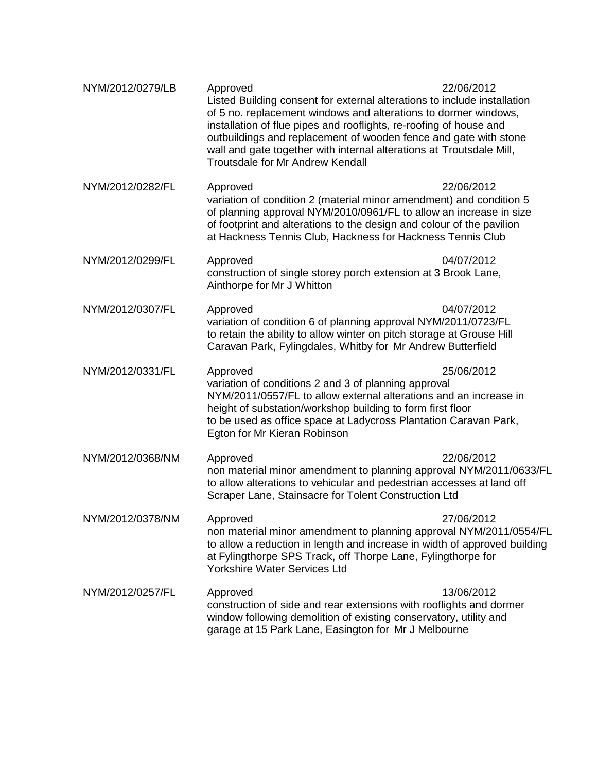| NYM/2012/0279/LB | Approved<br>Listed Building consent for external alterations to include installation<br>of 5 no. replacement windows and alterations to dormer windows,<br>installation of flue pipes and rooflights, re-roofing of house and<br>outbuildings and replacement of wooden fence and gate with stone<br>wall and gate together with internal alterations at Troutsdale Mill,<br><b>Troutsdale for Mr Andrew Kendall</b> | 22/06/2012 |
|------------------|----------------------------------------------------------------------------------------------------------------------------------------------------------------------------------------------------------------------------------------------------------------------------------------------------------------------------------------------------------------------------------------------------------------------|------------|
| NYM/2012/0282/FL | Approved<br>variation of condition 2 (material minor amendment) and condition 5<br>of planning approval NYM/2010/0961/FL to allow an increase in size<br>of footprint and alterations to the design and colour of the pavilion<br>at Hackness Tennis Club, Hackness for Hackness Tennis Club                                                                                                                         | 22/06/2012 |
| NYM/2012/0299/FL | Approved<br>construction of single storey porch extension at 3 Brook Lane,<br>Ainthorpe for Mr J Whitton                                                                                                                                                                                                                                                                                                             | 04/07/2012 |
| NYM/2012/0307/FL | Approved<br>variation of condition 6 of planning approval NYM/2011/0723/FL<br>to retain the ability to allow winter on pitch storage at Grouse Hill<br>Caravan Park, Fylingdales, Whitby for Mr Andrew Butterfield                                                                                                                                                                                                   | 04/07/2012 |
| NYM/2012/0331/FL | Approved<br>variation of conditions 2 and 3 of planning approval<br>NYM/2011/0557/FL to allow external alterations and an increase in<br>height of substation/workshop building to form first floor<br>to be used as office space at Ladycross Plantation Caravan Park,<br>Egton for Mr Kieran Robinson                                                                                                              | 25/06/2012 |
| NYM/2012/0368/NM | Approved<br>non material minor amendment to planning approval NYM/2011/0633/FL<br>to allow alterations to vehicular and pedestrian accesses at land off<br>Scraper Lane, Stainsacre for Tolent Construction Ltd                                                                                                                                                                                                      | 22/06/2012 |
| NYM/2012/0378/NM | Approved<br>non material minor amendment to planning approval NYM/2011/0554/FL<br>to allow a reduction in length and increase in width of approved building<br>at Fylingthorpe SPS Track, off Thorpe Lane, Fylingthorpe for<br><b>Yorkshire Water Services Ltd</b>                                                                                                                                                   | 27/06/2012 |
| NYM/2012/0257/FL | Approved<br>construction of side and rear extensions with rooflights and dormer<br>window following demolition of existing conservatory, utility and<br>garage at 15 Park Lane, Easington for Mr J Melbourne                                                                                                                                                                                                         | 13/06/2012 |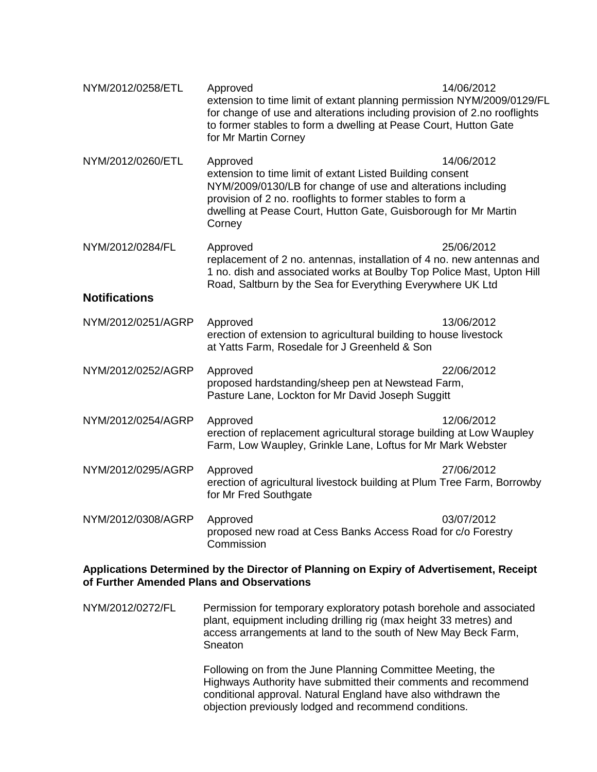| NYM/2012/0258/ETL    | Approved<br>extension to time limit of extant planning permission NYM/2009/0129/FL<br>for change of use and alterations including provision of 2.no rooflights<br>to former stables to form a dwelling at Pease Court, Hutton Gate<br>for Mr Martin Corney                      | 14/06/2012 |
|----------------------|---------------------------------------------------------------------------------------------------------------------------------------------------------------------------------------------------------------------------------------------------------------------------------|------------|
| NYM/2012/0260/ETL    | Approved<br>extension to time limit of extant Listed Building consent<br>NYM/2009/0130/LB for change of use and alterations including<br>provision of 2 no. rooflights to former stables to form a<br>dwelling at Pease Court, Hutton Gate, Guisborough for Mr Martin<br>Corney | 14/06/2012 |
| NYM/2012/0284/FL     | Approved<br>25/06/2012<br>replacement of 2 no. antennas, installation of 4 no. new antennas and<br>1 no. dish and associated works at Boulby Top Police Mast, Upton Hill<br>Road, Saltburn by the Sea for Everything Everywhere UK Ltd                                          |            |
| <b>Notifications</b> |                                                                                                                                                                                                                                                                                 |            |
| NYM/2012/0251/AGRP   | Approved<br>erection of extension to agricultural building to house livestock<br>at Yatts Farm, Rosedale for J Greenheld & Son                                                                                                                                                  | 13/06/2012 |
| NYM/2012/0252/AGRP   | Approved<br>proposed hardstanding/sheep pen at Newstead Farm,<br>Pasture Lane, Lockton for Mr David Joseph Suggitt                                                                                                                                                              | 22/06/2012 |
| NYM/2012/0254/AGRP   | Approved<br>erection of replacement agricultural storage building at Low Waupley<br>Farm, Low Waupley, Grinkle Lane, Loftus for Mr Mark Webster                                                                                                                                 | 12/06/2012 |
| NYM/2012/0295/AGRP   | Approved<br>erection of agricultural livestock building at Plum Tree Farm, Borrowby<br>for Mr Fred Southgate                                                                                                                                                                    | 27/06/2012 |
| NYM/2012/0308/AGRP   | Approved<br>proposed new road at Cess Banks Access Road for c/o Forestry<br>Commission                                                                                                                                                                                          | 03/07/2012 |

### **Applications Determined by the Director of Planning on Expiry of Advertisement, Receipt of Further Amended Plans and Observations**

NYM/2012/0272/FL Permission for temporary exploratory potash borehole and associated plant, equipment including drilling rig (max height 33 metres) and access arrangements at land to the south of New May Beck Farm, Sneaton

> Following on from the June Planning Committee Meeting, the Highways Authority have submitted their comments and recommend conditional approval. Natural England have also withdrawn the objection previously lodged and recommend conditions.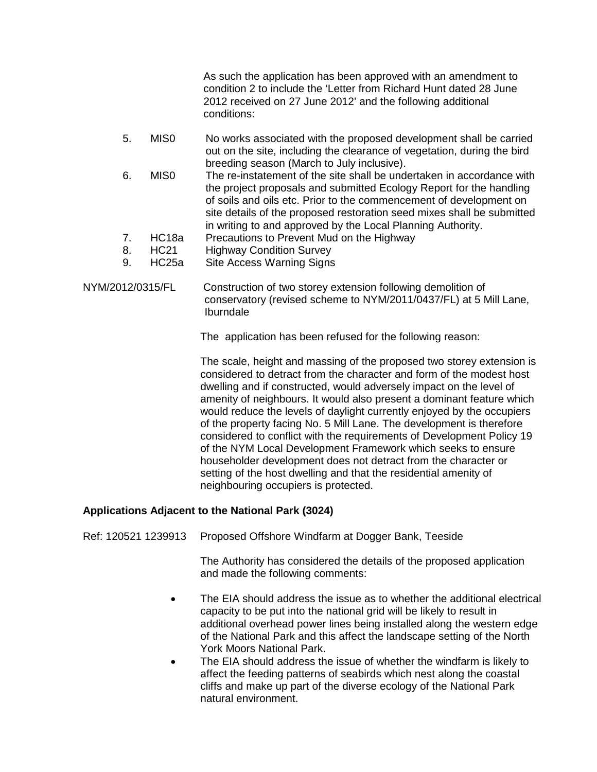As such the application has been approved with an amendment to condition 2 to include the 'Letter from Richard Hunt dated 28 June 2012 received on 27 June 2012' and the following additional conditions:

- 5. MIS0 No works associated with the proposed development shall be carried out on the site, including the clearance of vegetation, during the bird breeding season (March to July inclusive).
- 6. MIS0 The re-instatement of the site shall be undertaken in accordance with the project proposals and submitted Ecology Report for the handling of soils and oils etc. Prior to the commencement of development on site details of the proposed restoration seed mixes shall be submitted in writing to and approved by the Local Planning Authority.
- 7. HC18a Precautions to Prevent Mud on the Highway
- 8. HC21 Highway Condition Survey
- 9. HC25a Site Access Warning Signs
- NYM/2012/0315/FL Construction of two storey extension following demolition of conservatory (revised scheme to NYM/2011/0437/FL) at 5 Mill Lane, Iburndale

The application has been refused for the following reason:

The scale, height and massing of the proposed two storey extension is considered to detract from the character and form of the modest host dwelling and if constructed, would adversely impact on the level of amenity of neighbours. It would also present a dominant feature which would reduce the levels of daylight currently enjoyed by the occupiers of the property facing No. 5 Mill Lane. The development is therefore considered to conflict with the requirements of Development Policy 19 of the NYM Local Development Framework which seeks to ensure householder development does not detract from the character or setting of the host dwelling and that the residential amenity of neighbouring occupiers is protected.

### **Applications Adjacent to the National Park (3024)**

Ref: 120521 1239913 Proposed Offshore Windfarm at Dogger Bank, Teeside

 The Authority has considered the details of the proposed application and made the following comments:

- The EIA should address the issue as to whether the additional electrical capacity to be put into the national grid will be likely to result in additional overhead power lines being installed along the western edge of the National Park and this affect the landscape setting of the North York Moors National Park.
- The EIA should address the issue of whether the windfarm is likely to affect the feeding patterns of seabirds which nest along the coastal cliffs and make up part of the diverse ecology of the National Park natural environment.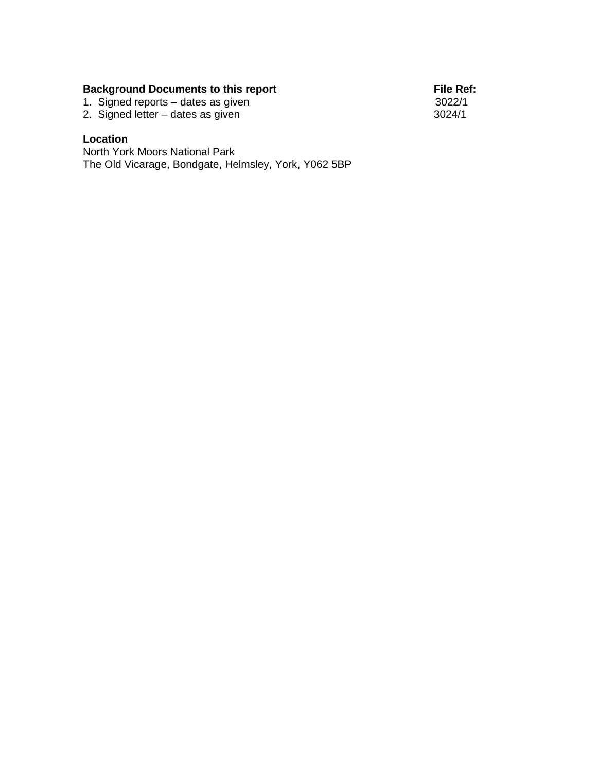## **Background Documents to this report File Ref:**

1. Signed reports – dates as given 3022/1

2. Signed letter – dates as given 3024/1

# **Location**

North York Moors National Park The Old Vicarage, Bondgate, Helmsley, York, Y062 5BP